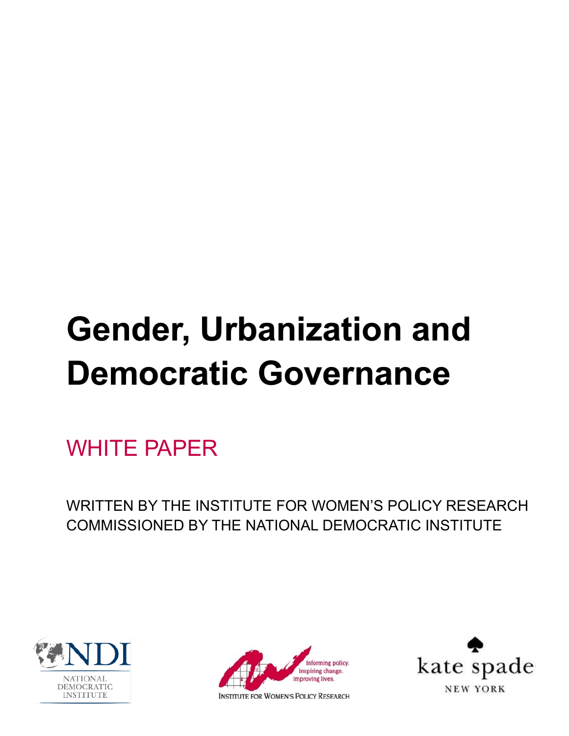# **Gender, Urbanization and Democratic Governance**

WHITE PAPER

WRITTEN BY THE INSTITUTE FOR WOMEN'S POLICY RESEARCH COMMISSIONED BY THE NATIONAL DEMOCRATIC INSTITUTE





**INSTITUTE FOR WOMEN'S POLICY RESEARCH** 

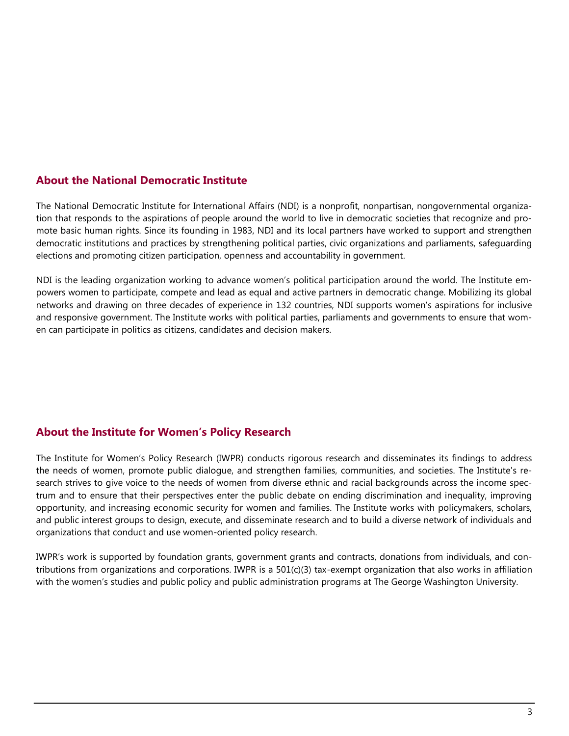## **About the National Democratic Institute**

The National Democratic Institute for International Affairs (NDI) is a nonprofit, nonpartisan, nongovernmental organization that responds to the aspirations of people around the world to live in democratic societies that recognize and promote basic human rights. Since its founding in 1983, NDI and its local partners have worked to support and strengthen democratic institutions and practices by strengthening political parties, civic organizations and parliaments, safeguarding elections and promoting citizen participation, openness and accountability in government.

NDI is the leading organization working to advance women's political participation around the world. The Institute empowers women to participate, compete and lead as equal and active partners in democratic change. Mobilizing its global networks and drawing on three decades of experience in 132 countries, NDI supports women's aspirations for inclusive and responsive government. The Institute works with political parties, parliaments and governments to ensure that women can participate in politics as citizens, candidates and decision makers.

## **About the Institute for Women's Policy Research**

The Institute for Women's Policy Research (IWPR) conducts rigorous research and disseminates its findings to address the needs of women, promote public dialogue, and strengthen families, communities, and societies. The Institute's research strives to give voice to the needs of women from diverse ethnic and racial backgrounds across the income spectrum and to ensure that their perspectives enter the public debate on ending discrimination and inequality, improving opportunity, and increasing economic security for women and families. The Institute works with policymakers, scholars, and public interest groups to design, execute, and disseminate research and to build a diverse network of individuals and organizations that conduct and use women-oriented policy research.

IWPR's work is supported by foundation grants, government grants and contracts, donations from individuals, and contributions from organizations and corporations. IWPR is a  $501(c)(3)$  tax-exempt organization that also works in affiliation with the women's studies and public policy and public administration programs at The George Washington University.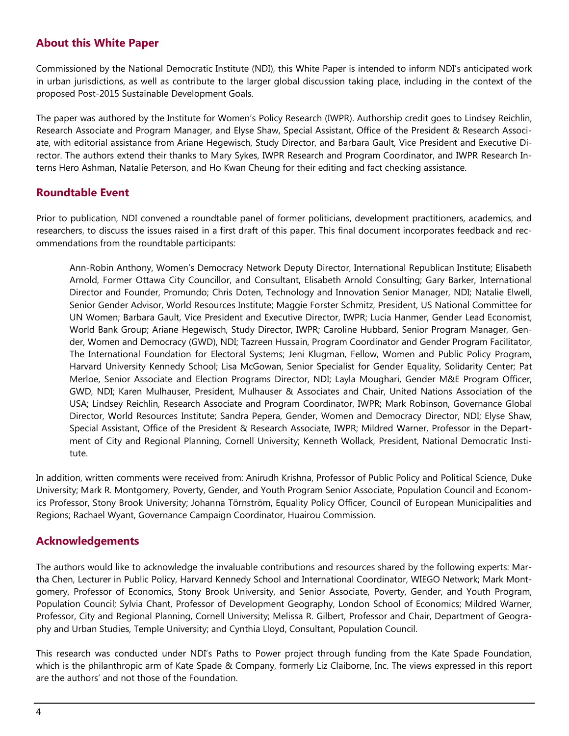## **About this White Paper**

Commissioned by the National Democratic Institute (NDI), this White Paper is intended to inform NDI's anticipated work in urban jurisdictions, as well as contribute to the larger global discussion taking place, including in the context of the proposed Post-2015 Sustainable Development Goals.

The paper was authored by the Institute for Women's Policy Research (IWPR). Authorship credit goes to Lindsey Reichlin, Research Associate and Program Manager, and Elyse Shaw, Special Assistant, Office of the President & Research Associate, with editorial assistance from Ariane Hegewisch, Study Director, and Barbara Gault, Vice President and Executive Director. The authors extend their thanks to Mary Sykes, IWPR Research and Program Coordinator, and IWPR Research Interns Hero Ashman, Natalie Peterson, and Ho Kwan Cheung for their editing and fact checking assistance.

## **Roundtable Event**

Prior to publication, NDI convened a roundtable panel of former politicians, development practitioners, academics, and researchers, to discuss the issues raised in a first draft of this paper. This final document incorporates feedback and recommendations from the roundtable participants:

Ann-Robin Anthony, Women's Democracy Network Deputy Director, International Republican Institute; Elisabeth Arnold, Former Ottawa City Councillor, and Consultant, Elisabeth Arnold Consulting; Gary Barker, International Director and Founder, Promundo; Chris Doten, Technology and Innovation Senior Manager, NDI; Natalie Elwell, Senior Gender Advisor, World Resources Institute; Maggie Forster Schmitz, President, US National Committee for UN Women; Barbara Gault, Vice President and Executive Director, IWPR; Lucia Hanmer, Gender Lead Economist, World Bank Group; Ariane Hegewisch, Study Director, IWPR; Caroline Hubbard, Senior Program Manager, Gender, Women and Democracy (GWD), NDI; Tazreen Hussain, Program Coordinator and Gender Program Facilitator, The International Foundation for Electoral Systems; Jeni Klugman, Fellow, Women and Public Policy Program, Harvard University Kennedy School; Lisa McGowan, Senior Specialist for Gender Equality, Solidarity Center; Pat Merloe, Senior Associate and Election Programs Director, NDI; Layla Moughari, Gender M&E Program Officer, GWD, NDI; Karen Mulhauser, President, Mulhauser & Associates and Chair, United Nations Association of the USA; Lindsey Reichlin, Research Associate and Program Coordinator, IWPR; Mark Robinson, Governance Global Director, World Resources Institute; Sandra Pepera, Gender, Women and Democracy Director, NDI; Elyse Shaw, Special Assistant, Office of the President & Research Associate, IWPR; Mildred Warner, Professor in the Department of City and Regional Planning, Cornell University; Kenneth Wollack, President, National Democratic Institute.

In addition, written comments were received from: Anirudh Krishna, Professor of Public Policy and Political Science, Duke University; Mark R. Montgomery, Poverty, Gender, and Youth Program Senior Associate, Population Council and Economics Professor, Stony Brook University; Johanna Törnström, Equality Policy Officer, Council of European Municipalities and Regions; Rachael Wyant, Governance Campaign Coordinator, Huairou Commission.

## **Acknowledgements**

The authors would like to acknowledge the invaluable contributions and resources shared by the following experts: Martha Chen, Lecturer in Public Policy, Harvard Kennedy School and International Coordinator, WIEGO Network; Mark Montgomery, Professor of Economics, Stony Brook University, and Senior Associate, Poverty, Gender, and Youth Program, Population Council; Sylvia Chant, Professor of Development Geography, London School of Economics; Mildred Warner, Professor, City and Regional Planning, Cornell University; Melissa R. Gilbert, Professor and Chair, Department of Geography and Urban Studies, Temple University; and Cynthia Lloyd, Consultant, Population Council.

This research was conducted under NDI's Paths to Power project through funding from the Kate Spade Foundation, which is the philanthropic arm of Kate Spade & Company, formerly Liz Claiborne, Inc. The views expressed in this report are the authors' and not those of the Foundation.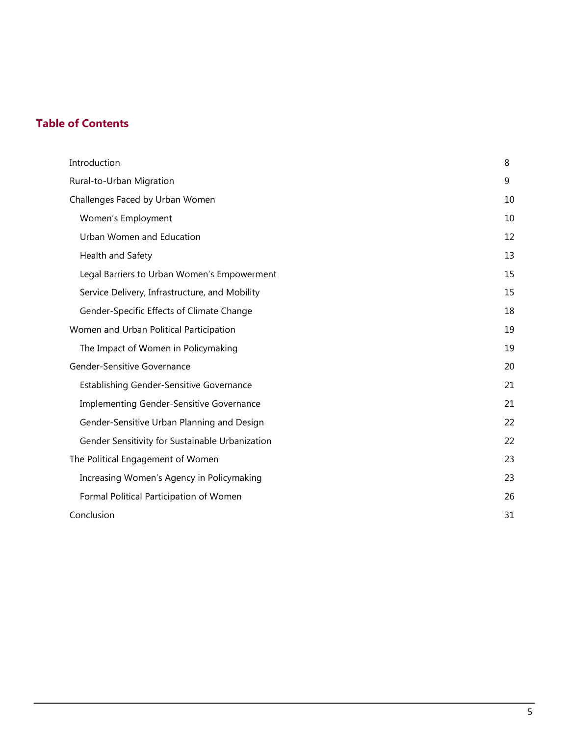# **Table of Contents**

| Introduction                                    | 8  |
|-------------------------------------------------|----|
| Rural-to-Urban Migration                        | 9  |
| Challenges Faced by Urban Women                 | 10 |
| Women's Employment                              | 10 |
| Urban Women and Education                       | 12 |
| Health and Safety                               | 13 |
| Legal Barriers to Urban Women's Empowerment     | 15 |
| Service Delivery, Infrastructure, and Mobility  | 15 |
| Gender-Specific Effects of Climate Change       | 18 |
| Women and Urban Political Participation         | 19 |
| The Impact of Women in Policymaking             | 19 |
| Gender-Sensitive Governance                     | 20 |
| <b>Establishing Gender-Sensitive Governance</b> | 21 |
| Implementing Gender-Sensitive Governance        | 21 |
| Gender-Sensitive Urban Planning and Design      | 22 |
| Gender Sensitivity for Sustainable Urbanization | 22 |
| The Political Engagement of Women               | 23 |
| Increasing Women's Agency in Policymaking       | 23 |
| Formal Political Participation of Women         | 26 |
| Conclusion                                      | 31 |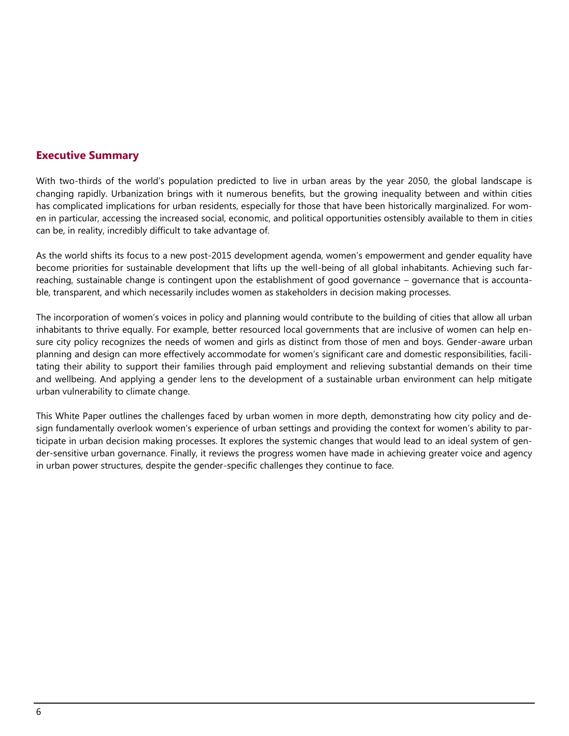## **Executive Summary**

With two-thirds of the world's population predicted to live in urban areas by the year 2050, the global landscape is changing rapidly. Urbanization brings with it numerous benefits, but the growing inequality between and within cities has complicated implications for urban residents, especially for those that have been historically marginalized. For women in particular, accessing the increased social, economic, and political opportunities ostensibly available to them in cities can be, in reality, incredibly difficult to take advantage of.

As the world shifts its focus to a new post-2015 development agenda, women's empowerment and gender equality have become priorities for sustainable development that lifts up the well-being of all global inhabitants. Achieving such farreaching, sustainable change is contingent upon the establishment of good governance – governance that is accountable, transparent, and which necessarily includes women as stakeholders in decision making processes.

The incorporation of women's voices in policy and planning would contribute to the building of cities that allow all urban inhabitants to thrive equally. For example, better resourced local governments that are inclusive of women can help ensure city policy recognizes the needs of women and girls as distinct from those of men and boys. Gender-aware urban planning and design can more effectively accommodate for women's significant care and domestic responsibilities, facilitating their ability to support their families through paid employment and relieving substantial demands on their time and wellbeing. And applying a gender lens to the development of a sustainable urban environment can help mitigate urban vulnerability to climate change.

This White Paper outlines the challenges faced by urban women in more depth, demonstrating how city policy and design fundamentally overlook women's experience of urban settings and providing the context for women's ability to participate in urban decision making processes. It explores the systemic changes that would lead to an ideal system of gender-sensitive urban governance. Finally, it reviews the progress women have made in achieving greater voice and agency in urban power structures, despite the gender-specific challenges they continue to face.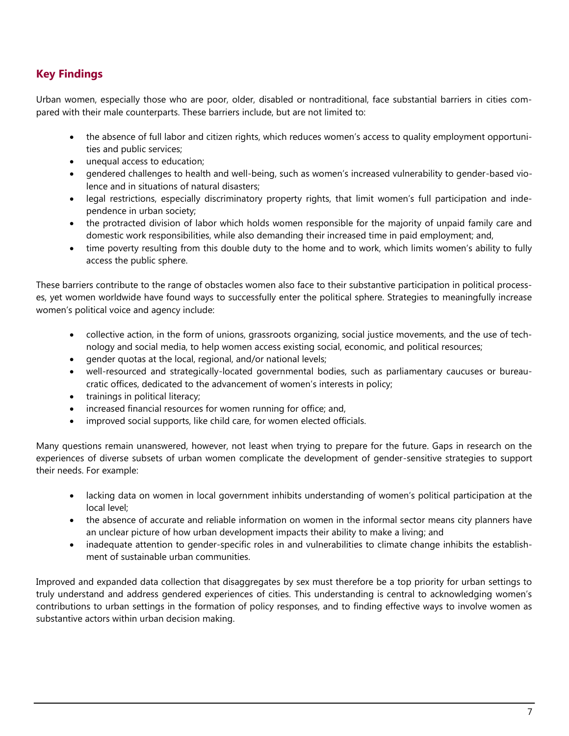## **Key Findings**

Urban women, especially those who are poor, older, disabled or nontraditional, face substantial barriers in cities compared with their male counterparts. These barriers include, but are not limited to:

- the absence of full labor and citizen rights, which reduces women's access to quality employment opportunities and public services;
- unequal access to education;
- gendered challenges to health and well-being, such as women's increased vulnerability to gender-based violence and in situations of natural disasters;
- legal restrictions, especially discriminatory property rights, that limit women's full participation and independence in urban society;
- the protracted division of labor which holds women responsible for the majority of unpaid family care and domestic work responsibilities, while also demanding their increased time in paid employment; and,
- time poverty resulting from this double duty to the home and to work, which limits women's ability to fully access the public sphere.

These barriers contribute to the range of obstacles women also face to their substantive participation in political processes, yet women worldwide have found ways to successfully enter the political sphere. Strategies to meaningfully increase women's political voice and agency include:

- collective action, in the form of unions, grassroots organizing, social justice movements, and the use of technology and social media, to help women access existing social, economic, and political resources;
- gender quotas at the local, regional, and/or national levels;
- well-resourced and strategically-located governmental bodies, such as parliamentary caucuses or bureaucratic offices, dedicated to the advancement of women's interests in policy;
- trainings in political literacy;
- increased financial resources for women running for office; and,
- improved social supports, like child care, for women elected officials.

Many questions remain unanswered, however, not least when trying to prepare for the future. Gaps in research on the experiences of diverse subsets of urban women complicate the development of gender-sensitive strategies to support their needs. For example:

- lacking data on women in local government inhibits understanding of women's political participation at the local level;
- the absence of accurate and reliable information on women in the informal sector means city planners have an unclear picture of how urban development impacts their ability to make a living; and
- inadequate attention to gender-specific roles in and vulnerabilities to climate change inhibits the establishment of sustainable urban communities.

Improved and expanded data collection that disaggregates by sex must therefore be a top priority for urban settings to truly understand and address gendered experiences of cities. This understanding is central to acknowledging women's contributions to urban settings in the formation of policy responses, and to finding effective ways to involve women as substantive actors within urban decision making.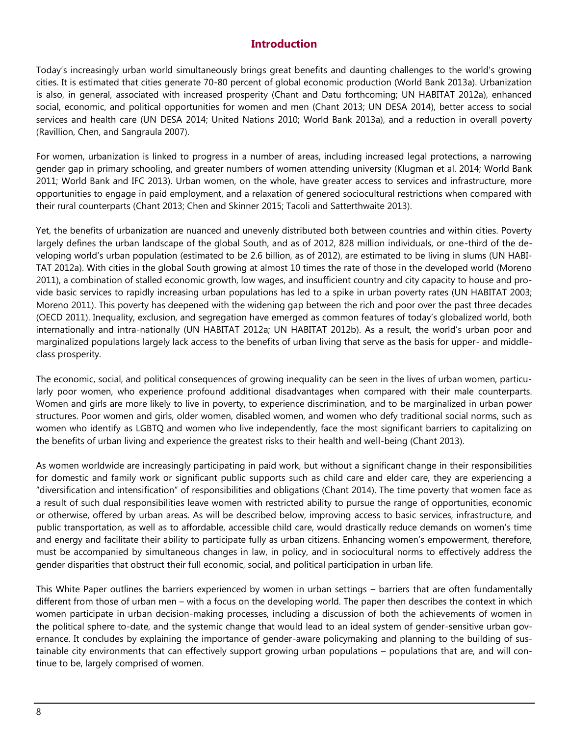## **Introduction**

Today's increasingly urban world simultaneously brings great benefits and daunting challenges to the world's growing cities. It is estimated that cities generate 70-80 percent of global economic production (World Bank 2013a). Urbanization is also, in general, associated with increased prosperity (Chant and Datu forthcoming; UN HABITAT 2012a), enhanced social, economic, and political opportunities for women and men (Chant 2013; UN DESA 2014), better access to social services and health care (UN DESA 2014; United Nations 2010; World Bank 2013a), and a reduction in overall poverty (Ravillion, Chen, and Sangraula 2007).

For women, urbanization is linked to progress in a number of areas, including increased legal protections, a narrowing gender gap in primary schooling, and greater numbers of women attending university (Klugman et al. 2014; World Bank 2011; World Bank and IFC 2013). Urban women, on the whole, have greater access to services and infrastructure, more opportunities to engage in paid employment, and a relaxation of genered sociocultural restrictions when compared with their rural counterparts (Chant 2013; Chen and Skinner 2015; Tacoli and Satterthwaite 2013).

Yet, the benefits of urbanization are nuanced and unevenly distributed both between countries and within cities. Poverty largely defines the urban landscape of the global South, and as of 2012, 828 million individuals, or one-third of the developing world's urban population (estimated to be 2.6 billion, as of 2012), are estimated to be living in slums (UN HABI-TAT 2012a). With cities in the global South growing at almost 10 times the rate of those in the developed world (Moreno 2011), a combination of stalled economic growth, low wages, and insufficient country and city capacity to house and provide basic services to rapidly increasing urban populations has led to a spike in urban poverty rates (UN HABITAT 2003; Moreno 2011). This poverty has deepened with the widening gap between the rich and poor over the past three decades (OECD 2011). Inequality, exclusion, and segregation have emerged as common features of today's globalized world, both internationally and intra-nationally (UN HABITAT 2012a; UN HABITAT 2012b). As a result, the world's urban poor and marginalized populations largely lack access to the benefits of urban living that serve as the basis for upper- and middleclass prosperity.

The economic, social, and political consequences of growing inequality can be seen in the lives of urban women, particularly poor women, who experience profound additional disadvantages when compared with their male counterparts. Women and girls are more likely to live in poverty, to experience discrimination, and to be marginalized in urban power structures. Poor women and girls, older women, disabled women, and women who defy traditional social norms, such as women who identify as LGBTQ and women who live independently, face the most significant barriers to capitalizing on the benefits of urban living and experience the greatest risks to their health and well-being (Chant 2013).

As women worldwide are increasingly participating in paid work, but without a significant change in their responsibilities for domestic and family work or significant public supports such as child care and elder care, they are experiencing a "diversification and intensification" of responsibilities and obligations (Chant 2014). The time poverty that women face as a result of such dual responsibilities leave women with restricted ability to pursue the range of opportunities, economic or otherwise, offered by urban areas. As will be described below, improving access to basic services, infrastructure, and public transportation, as well as to affordable, accessible child care, would drastically reduce demands on women's time and energy and facilitate their ability to participate fully as urban citizens. Enhancing women's empowerment, therefore, must be accompanied by simultaneous changes in law, in policy, and in sociocultural norms to effectively address the gender disparities that obstruct their full economic, social, and political participation in urban life.

This White Paper outlines the barriers experienced by women in urban settings – barriers that are often fundamentally different from those of urban men – with a focus on the developing world. The paper then describes the context in which women participate in urban decision-making processes, including a discussion of both the achievements of women in the political sphere to-date, and the systemic change that would lead to an ideal system of gender-sensitive urban governance. It concludes by explaining the importance of gender-aware policymaking and planning to the building of sustainable city environments that can effectively support growing urban populations – populations that are, and will continue to be, largely comprised of women.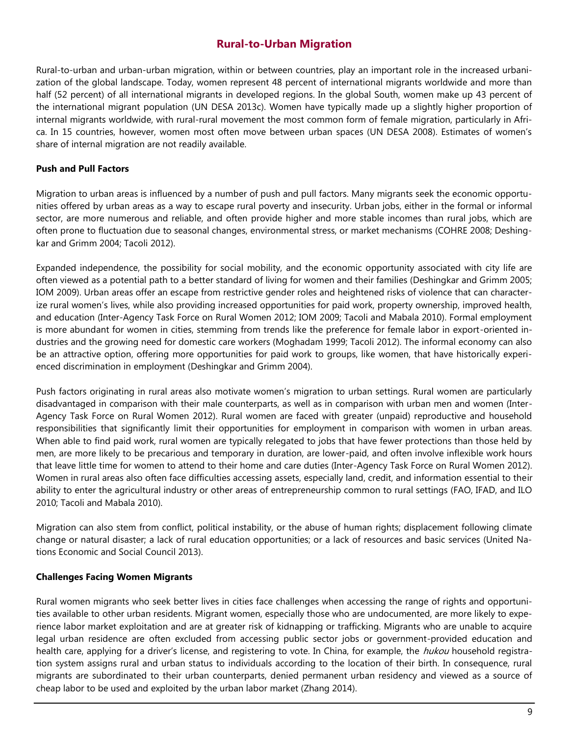## **Rural-to-Urban Migration**

Rural-to-urban and urban-urban migration, within or between countries, play an important role in the increased urbanization of the global landscape. Today, women represent 48 percent of international migrants worldwide and more than half (52 percent) of all international migrants in developed regions. In the global South, women make up 43 percent of the international migrant population (UN DESA 2013c). Women have typically made up a slightly higher proportion of internal migrants worldwide, with rural-rural movement the most common form of female migration, particularly in Africa. In 15 countries, however, women most often move between urban spaces (UN DESA 2008). Estimates of women's share of internal migration are not readily available.

#### **Push and Pull Factors**

Migration to urban areas is influenced by a number of push and pull factors. Many migrants seek the economic opportunities offered by urban areas as a way to escape rural poverty and insecurity. Urban jobs, either in the formal or informal sector, are more numerous and reliable, and often provide higher and more stable incomes than rural jobs, which are often prone to fluctuation due to seasonal changes, environmental stress, or market mechanisms (COHRE 2008; Deshingkar and Grimm 2004; Tacoli 2012).

Expanded independence, the possibility for social mobility, and the economic opportunity associated with city life are often viewed as a potential path to a better standard of living for women and their families (Deshingkar and Grimm 2005; IOM 2009). Urban areas offer an escape from restrictive gender roles and heightened risks of violence that can characterize rural women's lives, while also providing increased opportunities for paid work, property ownership, improved health, and education (Inter-Agency Task Force on Rural Women 2012; IOM 2009; Tacoli and Mabala 2010). Formal employment is more abundant for women in cities, stemming from trends like the preference for female labor in export-oriented industries and the growing need for domestic care workers (Moghadam 1999; Tacoli 2012). The informal economy can also be an attractive option, offering more opportunities for paid work to groups, like women, that have historically experienced discrimination in employment (Deshingkar and Grimm 2004).

Push factors originating in rural areas also motivate women's migration to urban settings. Rural women are particularly disadvantaged in comparison with their male counterparts, as well as in comparison with urban men and women (Inter-Agency Task Force on Rural Women 2012). Rural women are faced with greater (unpaid) reproductive and household responsibilities that significantly limit their opportunities for employment in comparison with women in urban areas. When able to find paid work, rural women are typically relegated to jobs that have fewer protections than those held by men, are more likely to be precarious and temporary in duration, are lower-paid, and often involve inflexible work hours that leave little time for women to attend to their home and care duties (Inter-Agency Task Force on Rural Women 2012). Women in rural areas also often face difficulties accessing assets, especially land, credit, and information essential to their ability to enter the agricultural industry or other areas of entrepreneurship common to rural settings (FAO, IFAD, and ILO 2010; Tacoli and Mabala 2010).

Migration can also stem from conflict, political instability, or the abuse of human rights; displacement following climate change or natural disaster; a lack of rural education opportunities; or a lack of resources and basic services (United Nations Economic and Social Council 2013).

#### **Challenges Facing Women Migrants**

Rural women migrants who seek better lives in cities face challenges when accessing the range of rights and opportunities available to other urban residents. Migrant women, especially those who are undocumented, are more likely to experience labor market exploitation and are at greater risk of kidnapping or trafficking. Migrants who are unable to acquire legal urban residence are often excluded from accessing public sector jobs or government-provided education and health care, applying for a driver's license, and registering to vote. In China, for example, the *hukou* household registration system assigns rural and urban status to individuals according to the location of their birth. In consequence, rural migrants are subordinated to their urban counterparts, denied permanent urban residency and viewed as a source of cheap labor to be used and exploited by the urban labor market (Zhang 2014).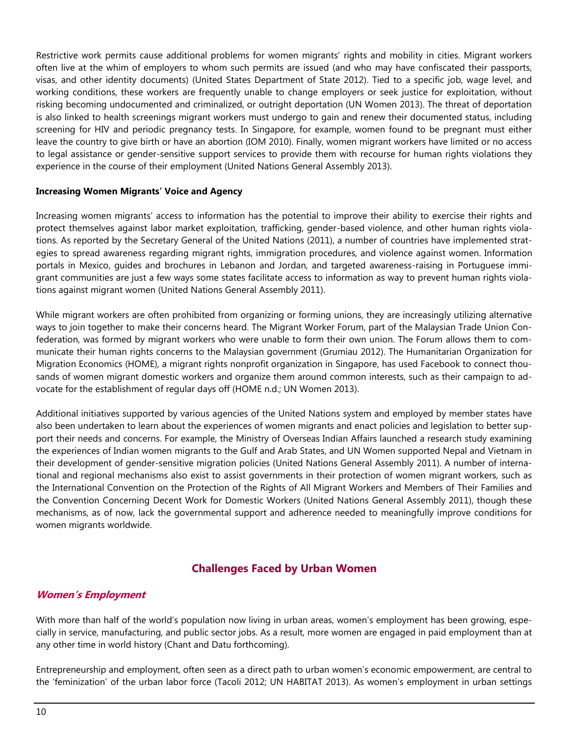Restrictive work permits cause additional problems for women migrants' rights and mobility in cities. Migrant workers often live at the whim of employers to whom such permits are issued (and who may have confiscated their passports, visas, and other identity documents) (United States Department of State 2012). Tied to a specific job, wage level, and working conditions, these workers are frequently unable to change employers or seek justice for exploitation, without risking becoming undocumented and criminalized, or outright deportation (UN Women 2013). The threat of deportation is also linked to health screenings migrant workers must undergo to gain and renew their documented status, including screening for HIV and periodic pregnancy tests. In Singapore, for example, women found to be pregnant must either leave the country to give birth or have an abortion (IOM 2010). Finally, women migrant workers have limited or no access to legal assistance or gender-sensitive support services to provide them with recourse for human rights violations they experience in the course of their employment (United Nations General Assembly 2013).

#### **Increasing Women Migrants' Voice and Agency**

Increasing women migrants' access to information has the potential to improve their ability to exercise their rights and protect themselves against labor market exploitation, trafficking, gender-based violence, and other human rights violations. As reported by the Secretary General of the United Nations (2011), a number of countries have implemented strategies to spread awareness regarding migrant rights, immigration procedures, and violence against women. Information portals in Mexico, guides and brochures in Lebanon and Jordan, and targeted awareness-raising in Portuguese immigrant communities are just a few ways some states facilitate access to information as way to prevent human rights violations against migrant women (United Nations General Assembly 2011).

While migrant workers are often prohibited from organizing or forming unions, they are increasingly utilizing alternative ways to join together to make their concerns heard. The Migrant Worker Forum, part of the Malaysian Trade Union Confederation, was formed by migrant workers who were unable to form their own union. The Forum allows them to communicate their human rights concerns to the Malaysian government (Grumiau 2012). The Humanitarian Organization for Migration Economics (HOME), a migrant rights nonprofit organization in Singapore, has used Facebook to connect thousands of women migrant domestic workers and organize them around common interests, such as their campaign to advocate for the establishment of regular days off (HOME n.d.; UN Women 2013).

Additional initiatives supported by various agencies of the United Nations system and employed by member states have also been undertaken to learn about the experiences of women migrants and enact policies and legislation to better support their needs and concerns. For example, the Ministry of Overseas Indian Affairs launched a research study examining the experiences of Indian women migrants to the Gulf and Arab States, and UN Women supported Nepal and Vietnam in their development of gender-sensitive migration policies (United Nations General Assembly 2011). A number of international and regional mechanisms also exist to assist governments in their protection of women migrant workers, such as the International Convention on the Protection of the Rights of All Migrant Workers and Members of Their Families and the Convention Concerning Decent Work for Domestic Workers (United Nations General Assembly 2011), though these mechanisms, as of now, lack the governmental support and adherence needed to meaningfully improve conditions for women migrants worldwide.

## **Challenges Faced by Urban Women**

#### **Women's Employment**

With more than half of the world's population now living in urban areas, women's employment has been growing, especially in service, manufacturing, and public sector jobs. As a result, more women are engaged in paid employment than at any other time in world history (Chant and Datu forthcoming).

Entrepreneurship and employment, often seen as a direct path to urban women's economic empowerment, are central to the 'feminization' of the urban labor force (Tacoli 2012; UN HABITAT 2013). As women's employment in urban settings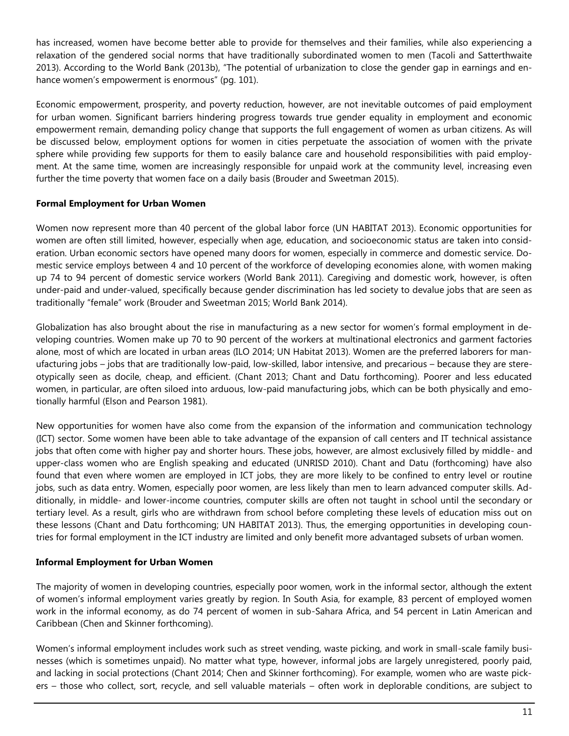has increased, women have become better able to provide for themselves and their families, while also experiencing a relaxation of the gendered social norms that have traditionally subordinated women to men (Tacoli and Satterthwaite 2013). According to the World Bank (2013b), "The potential of urbanization to close the gender gap in earnings and enhance women's empowerment is enormous" (pg. 101).

Economic empowerment, prosperity, and poverty reduction, however, are not inevitable outcomes of paid employment for urban women. Significant barriers hindering progress towards true gender equality in employment and economic empowerment remain, demanding policy change that supports the full engagement of women as urban citizens. As will be discussed below, employment options for women in cities perpetuate the association of women with the private sphere while providing few supports for them to easily balance care and household responsibilities with paid employment. At the same time, women are increasingly responsible for unpaid work at the community level, increasing even further the time poverty that women face on a daily basis (Brouder and Sweetman 2015).

#### **Formal Employment for Urban Women**

Women now represent more than 40 percent of the global labor force (UN HABITAT 2013). Economic opportunities for women are often still limited, however, especially when age, education, and socioeconomic status are taken into consideration. Urban economic sectors have opened many doors for women, especially in commerce and domestic service. Domestic service employs between 4 and 10 percent of the workforce of developing economies alone, with women making up 74 to 94 percent of domestic service workers (World Bank 2011). Caregiving and domestic work, however, is often under-paid and under-valued, specifically because gender discrimination has led society to devalue jobs that are seen as traditionally "female" work (Brouder and Sweetman 2015; World Bank 2014).

Globalization has also brought about the rise in manufacturing as a new sector for women's formal employment in developing countries. Women make up 70 to 90 percent of the workers at multinational electronics and garment factories alone, most of which are located in urban areas (ILO 2014; UN Habitat 2013). Women are the preferred laborers for manufacturing jobs – jobs that are traditionally low-paid, low-skilled, labor intensive, and precarious – because they are stereotypically seen as docile, cheap, and efficient. (Chant 2013; Chant and Datu forthcoming). Poorer and less educated women, in particular, are often siloed into arduous, low-paid manufacturing jobs, which can be both physically and emotionally harmful (Elson and Pearson 1981).

New opportunities for women have also come from the expansion of the information and communication technology (ICT) sector. Some women have been able to take advantage of the expansion of call centers and IT technical assistance jobs that often come with higher pay and shorter hours. These jobs, however, are almost exclusively filled by middle- and upper-class women who are English speaking and educated (UNRISD 2010). Chant and Datu (forthcoming) have also found that even where women are employed in ICT jobs, they are more likely to be confined to entry level or routine jobs, such as data entry. Women, especially poor women, are less likely than men to learn advanced computer skills. Additionally, in middle- and lower-income countries, computer skills are often not taught in school until the secondary or tertiary level. As a result, girls who are withdrawn from school before completing these levels of education miss out on these lessons (Chant and Datu forthcoming; UN HABITAT 2013). Thus, the emerging opportunities in developing countries for formal employment in the ICT industry are limited and only benefit more advantaged subsets of urban women.

## **Informal Employment for Urban Women**

The majority of women in developing countries, especially poor women, work in the informal sector, although the extent of women's informal employment varies greatly by region. In South Asia, for example, 83 percent of employed women work in the informal economy, as do 74 percent of women in sub-Sahara Africa, and 54 percent in Latin American and Caribbean (Chen and Skinner forthcoming).

Women's informal employment includes work such as street vending, waste picking, and work in small-scale family businesses (which is sometimes unpaid). No matter what type, however, informal jobs are largely unregistered, poorly paid, and lacking in social protections (Chant 2014; Chen and Skinner forthcoming). For example, women who are waste pickers – those who collect, sort, recycle, and sell valuable materials – often work in deplorable conditions, are subject to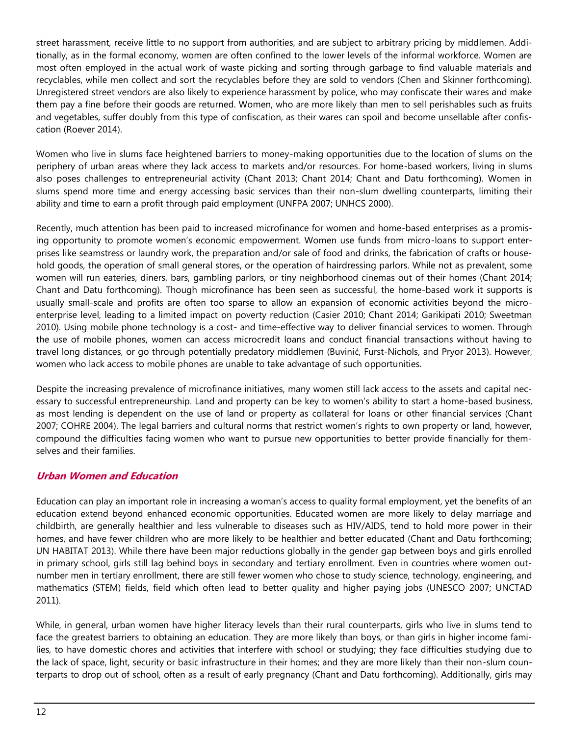street harassment, receive little to no support from authorities, and are subject to arbitrary pricing by middlemen. Additionally, as in the formal economy, women are often confined to the lower levels of the informal workforce. Women are most often employed in the actual work of waste picking and sorting through garbage to find valuable materials and recyclables, while men collect and sort the recyclables before they are sold to vendors (Chen and Skinner forthcoming). Unregistered street vendors are also likely to experience harassment by police, who may confiscate their wares and make them pay a fine before their goods are returned. Women, who are more likely than men to sell perishables such as fruits and vegetables, suffer doubly from this type of confiscation, as their wares can spoil and become unsellable after confiscation (Roever 2014).

Women who live in slums face heightened barriers to money-making opportunities due to the location of slums on the periphery of urban areas where they lack access to markets and/or resources. For home-based workers, living in slums also poses challenges to entrepreneurial activity (Chant 2013; Chant 2014; Chant and Datu forthcoming). Women in slums spend more time and energy accessing basic services than their non-slum dwelling counterparts, limiting their ability and time to earn a profit through paid employment (UNFPA 2007; UNHCS 2000).

Recently, much attention has been paid to increased microfinance for women and home-based enterprises as a promising opportunity to promote women's economic empowerment. Women use funds from micro-loans to support enterprises like seamstress or laundry work, the preparation and/or sale of food and drinks, the fabrication of crafts or household goods, the operation of small general stores, or the operation of hairdressing parlors. While not as prevalent, some women will run eateries, diners, bars, gambling parlors, or tiny neighborhood cinemas out of their homes (Chant 2014; Chant and Datu forthcoming). Though microfinance has been seen as successful, the home-based work it supports is usually small-scale and profits are often too sparse to allow an expansion of economic activities beyond the microenterprise level, leading to a limited impact on poverty reduction (Casier 2010; Chant 2014; Garikipati 2010; Sweetman 2010). Using mobile phone technology is a cost- and time-effective way to deliver financial services to women. Through the use of mobile phones, women can access microcredit loans and conduct financial transactions without having to travel long distances, or go through potentially predatory middlemen (Buvinić, Furst-Nichols, and Pryor 2013). However, women who lack access to mobile phones are unable to take advantage of such opportunities.

Despite the increasing prevalence of microfinance initiatives, many women still lack access to the assets and capital necessary to successful entrepreneurship. Land and property can be key to women's ability to start a home-based business, as most lending is dependent on the use of land or property as collateral for loans or other financial services (Chant 2007; COHRE 2004). The legal barriers and cultural norms that restrict women's rights to own property or land, however, compound the difficulties facing women who want to pursue new opportunities to better provide financially for themselves and their families.

## **Urban Women and Education**

Education can play an important role in increasing a woman's access to quality formal employment, yet the benefits of an education extend beyond enhanced economic opportunities. Educated women are more likely to delay marriage and childbirth, are generally healthier and less vulnerable to diseases such as HIV/AIDS, tend to hold more power in their homes, and have fewer children who are more likely to be healthier and better educated (Chant and Datu forthcoming; UN HABITAT 2013). While there have been major reductions globally in the gender gap between boys and girls enrolled in primary school, girls still lag behind boys in secondary and tertiary enrollment. Even in countries where women outnumber men in tertiary enrollment, there are still fewer women who chose to study science, technology, engineering, and mathematics (STEM) fields, field which often lead to better quality and higher paying jobs (UNESCO 2007; UNCTAD 2011).

While, in general, urban women have higher literacy levels than their rural counterparts, girls who live in slums tend to face the greatest barriers to obtaining an education. They are more likely than boys, or than girls in higher income families, to have domestic chores and activities that interfere with school or studying; they face difficulties studying due to the lack of space, light, security or basic infrastructure in their homes; and they are more likely than their non-slum counterparts to drop out of school, often as a result of early pregnancy (Chant and Datu forthcoming). Additionally, girls may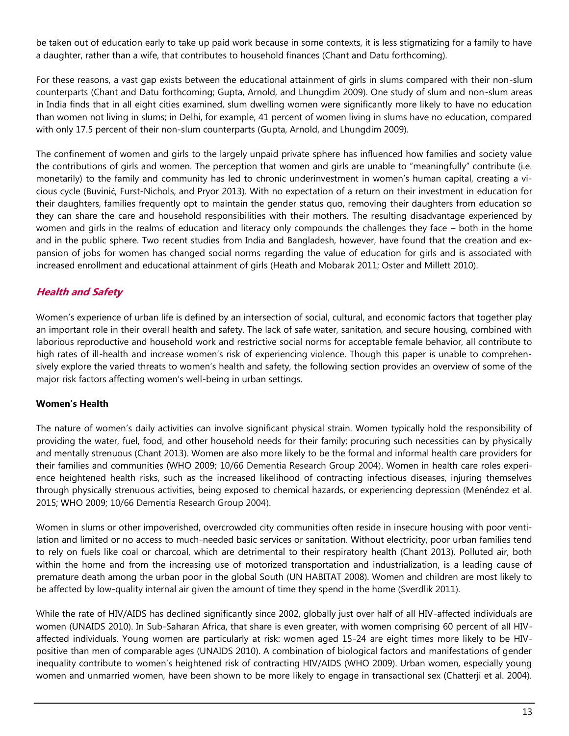be taken out of education early to take up paid work because in some contexts, it is less stigmatizing for a family to have a daughter, rather than a wife, that contributes to household finances (Chant and Datu forthcoming).

For these reasons, a vast gap exists between the educational attainment of girls in slums compared with their non-slum counterparts (Chant and Datu forthcoming; Gupta, Arnold, and Lhungdim 2009). One study of slum and non-slum areas in India finds that in all eight cities examined, slum dwelling women were significantly more likely to have no education than women not living in slums; in Delhi, for example, 41 percent of women living in slums have no education, compared with only 17.5 percent of their non-slum counterparts (Gupta, Arnold, and Lhungdim 2009).

The confinement of women and girls to the largely unpaid private sphere has influenced how families and society value the contributions of girls and women. The perception that women and girls are unable to "meaningfully" contribute (i.e. monetarily) to the family and community has led to chronic underinvestment in women's human capital, creating a vicious cycle (Buvinić, Furst-Nichols, and Pryor 2013). With no expectation of a return on their investment in education for their daughters, families frequently opt to maintain the gender status quo, removing their daughters from education so they can share the care and household responsibilities with their mothers. The resulting disadvantage experienced by women and girls in the realms of education and literacy only compounds the challenges they face – both in the home and in the public sphere. Two recent studies from India and Bangladesh, however, have found that the creation and expansion of jobs for women has changed social norms regarding the value of education for girls and is associated with increased enrollment and educational attainment of girls (Heath and Mobarak 2011; Oster and Millett 2010).

## **Health and Safety**

Women's experience of urban life is defined by an intersection of social, cultural, and economic factors that together play an important role in their overall health and safety. The lack of safe water, sanitation, and secure housing, combined with laborious reproductive and household work and restrictive social norms for acceptable female behavior, all contribute to high rates of ill-health and increase women's risk of experiencing violence. Though this paper is unable to comprehensively explore the varied threats to women's health and safety, the following section provides an overview of some of the major risk factors affecting women's well-being in urban settings.

## **Women's Health**

The nature of women's daily activities can involve significant physical strain. Women typically hold the responsibility of providing the water, fuel, food, and other household needs for their family; procuring such necessities can by physically and mentally strenuous (Chant 2013). Women are also more likely to be the formal and informal health care providers for their families and communities (WHO 2009; 10/66 Dementia Research Group 2004). Women in health care roles experience heightened health risks, such as the increased likelihood of contracting infectious diseases, injuring themselves through physically strenuous activities, being exposed to chemical hazards, or experiencing depression (Menéndez et al. 2015; WHO 2009; 10/66 Dementia Research Group 2004).

Women in slums or other impoverished, overcrowded city communities often reside in insecure housing with poor ventilation and limited or no access to much-needed basic services or sanitation. Without electricity, poor urban families tend to rely on fuels like coal or charcoal, which are detrimental to their respiratory health (Chant 2013). Polluted air, both within the home and from the increasing use of motorized transportation and industrialization, is a leading cause of premature death among the urban poor in the global South (UN HABITAT 2008). Women and children are most likely to be affected by low-quality internal air given the amount of time they spend in the home (Sverdlik 2011).

While the rate of HIV/AIDS has declined significantly since 2002, globally just over half of all HIV-affected individuals are women (UNAIDS 2010). In Sub-Saharan Africa, that share is even greater, with women comprising 60 percent of all HIVaffected individuals. Young women are particularly at risk: women aged 15-24 are eight times more likely to be HIVpositive than men of comparable ages (UNAIDS 2010). A combination of biological factors and manifestations of gender inequality contribute to women's heightened risk of contracting HIV/AIDS (WHO 2009). Urban women, especially young women and unmarried women, have been shown to be more likely to engage in transactional sex (Chatterji et al. 2004).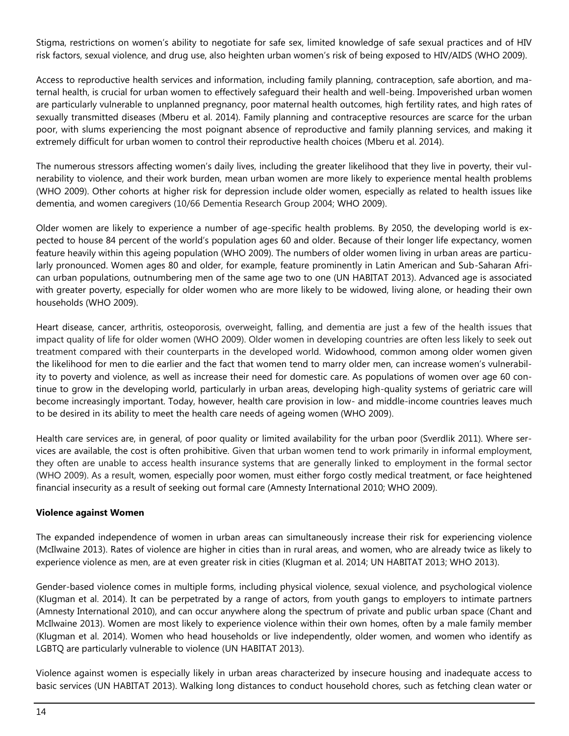Stigma, restrictions on women's ability to negotiate for safe sex, limited knowledge of safe sexual practices and of HIV risk factors, sexual violence, and drug use, also heighten urban women's risk of being exposed to HIV/AIDS (WHO 2009).

Access to reproductive health services and information, including family planning, contraception, safe abortion, and maternal health, is crucial for urban women to effectively safeguard their health and well-being. Impoverished urban women are particularly vulnerable to unplanned pregnancy, poor maternal health outcomes, high fertility rates, and high rates of sexually transmitted diseases (Mberu et al. 2014). Family planning and contraceptive resources are scarce for the urban poor, with slums experiencing the most poignant absence of reproductive and family planning services, and making it extremely difficult for urban women to control their reproductive health choices (Mberu et al. 2014).

The numerous stressors affecting women's daily lives, including the greater likelihood that they live in poverty, their vulnerability to violence, and their work burden, mean urban women are more likely to experience mental health problems (WHO 2009). Other cohorts at higher risk for depression include older women, especially as related to health issues like dementia, and women caregivers (10/66 Dementia Research Group 2004; WHO 2009).

Older women are likely to experience a number of age-specific health problems. By 2050, the developing world is expected to house 84 percent of the world's population ages 60 and older. Because of their longer life expectancy, women feature heavily within this ageing population (WHO 2009). The numbers of older women living in urban areas are particularly pronounced. Women ages 80 and older, for example, feature prominently in Latin American and Sub-Saharan African urban populations, outnumbering men of the same age two to one (UN HABITAT 2013). Advanced age is associated with greater poverty, especially for older women who are more likely to be widowed, living alone, or heading their own households (WHO 2009).

Heart disease, cancer, arthritis, osteoporosis, overweight, falling, and dementia are just a few of the health issues that impact quality of life for older women (WHO 2009). Older women in developing countries are often less likely to seek out treatment compared with their counterparts in the developed world. Widowhood, common among older women given the likelihood for men to die earlier and the fact that women tend to marry older men, can increase women's vulnerability to poverty and violence, as well as increase their need for domestic care. As populations of women over age 60 continue to grow in the developing world, particularly in urban areas, developing high-quality systems of geriatric care will become increasingly important. Today, however, health care provision in low- and middle-income countries leaves much to be desired in its ability to meet the health care needs of ageing women (WHO 2009).

Health care services are, in general, of poor quality or limited availability for the urban poor (Sverdlik 2011). Where services are available, the cost is often prohibitive. Given that urban women tend to work primarily in informal employment, they often are unable to access health insurance systems that are generally linked to employment in the formal sector (WHO 2009). As a result, women, especially poor women, must either forgo costly medical treatment, or face heightened financial insecurity as a result of seeking out formal care (Amnesty International 2010; WHO 2009).

#### **Violence against Women**

The expanded independence of women in urban areas can simultaneously increase their risk for experiencing violence (McIlwaine 2013). Rates of violence are higher in cities than in rural areas, and women, who are already twice as likely to experience violence as men, are at even greater risk in cities (Klugman et al. 2014; UN HABITAT 2013; WHO 2013).

Gender-based violence comes in multiple forms, including physical violence, sexual violence, and psychological violence (Klugman et al. 2014). It can be perpetrated by a range of actors, from youth gangs to employers to intimate partners (Amnesty International 2010), and can occur anywhere along the spectrum of private and public urban space (Chant and McIlwaine 2013). Women are most likely to experience violence within their own homes, often by a male family member (Klugman et al. 2014). Women who head households or live independently, older women, and women who identify as LGBTQ are particularly vulnerable to violence (UN HABITAT 2013).

Violence against women is especially likely in urban areas characterized by insecure housing and inadequate access to basic services (UN HABITAT 2013). Walking long distances to conduct household chores, such as fetching clean water or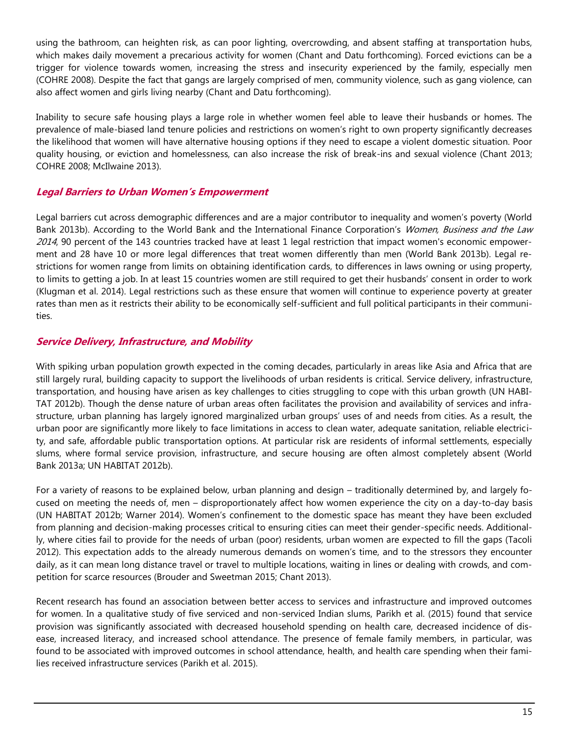using the bathroom, can heighten risk, as can poor lighting, overcrowding, and absent staffing at transportation hubs, which makes daily movement a precarious activity for women (Chant and Datu forthcoming). Forced evictions can be a trigger for violence towards women, increasing the stress and insecurity experienced by the family, especially men (COHRE 2008). Despite the fact that gangs are largely comprised of men, community violence, such as gang violence, can also affect women and girls living nearby (Chant and Datu forthcoming).

Inability to secure safe housing plays a large role in whether women feel able to leave their husbands or homes. The prevalence of male-biased land tenure policies and restrictions on women's right to own property significantly decreases the likelihood that women will have alternative housing options if they need to escape a violent domestic situation. Poor quality housing, or eviction and homelessness, can also increase the risk of break-ins and sexual violence (Chant 2013; COHRE 2008; McIlwaine 2013).

## **Legal Barriers to Urban Women's Empowerment**

Legal barriers cut across demographic differences and are a major contributor to inequality and women's poverty (World Bank 2013b). According to the World Bank and the International Finance Corporation's Women, Business and the Law 2014, 90 percent of the 143 countries tracked have at least 1 legal restriction that impact women's economic empowerment and 28 have 10 or more legal differences that treat women differently than men (World Bank 2013b). Legal restrictions for women range from limits on obtaining identification cards, to differences in laws owning or using property, to limits to getting a job. In at least 15 countries women are still required to get their husbands' consent in order to work (Klugman et al. 2014). Legal restrictions such as these ensure that women will continue to experience poverty at greater rates than men as it restricts their ability to be economically self-sufficient and full political participants in their communities.

## **Service Delivery, Infrastructure, and Mobility**

With spiking urban population growth expected in the coming decades, particularly in areas like Asia and Africa that are still largely rural, building capacity to support the livelihoods of urban residents is critical. Service delivery, infrastructure, transportation, and housing have arisen as key challenges to cities struggling to cope with this urban growth (UN HABI-TAT 2012b). Though the dense nature of urban areas often facilitates the provision and availability of services and infrastructure, urban planning has largely ignored marginalized urban groups' uses of and needs from cities. As a result, the urban poor are significantly more likely to face limitations in access to clean water, adequate sanitation, reliable electricity, and safe, affordable public transportation options. At particular risk are residents of informal settlements, especially slums, where formal service provision, infrastructure, and secure housing are often almost completely absent (World Bank 2013a; UN HABITAT 2012b).

For a variety of reasons to be explained below, urban planning and design – traditionally determined by, and largely focused on meeting the needs of, men – disproportionately affect how women experience the city on a day-to-day basis (UN HABITAT 2012b; Warner 2014). Women's confinement to the domestic space has meant they have been excluded from planning and decision-making processes critical to ensuring cities can meet their gender-specific needs. Additionally, where cities fail to provide for the needs of urban (poor) residents, urban women are expected to fill the gaps (Tacoli 2012). This expectation adds to the already numerous demands on women's time, and to the stressors they encounter daily, as it can mean long distance travel or travel to multiple locations, waiting in lines or dealing with crowds, and competition for scarce resources (Brouder and Sweetman 2015; Chant 2013).

Recent research has found an association between better access to services and infrastructure and improved outcomes for women. In a qualitative study of five serviced and non-serviced Indian slums, Parikh et al. (2015) found that service provision was significantly associated with decreased household spending on health care, decreased incidence of disease, increased literacy, and increased school attendance. The presence of female family members, in particular, was found to be associated with improved outcomes in school attendance, health, and health care spending when their families received infrastructure services (Parikh et al. 2015).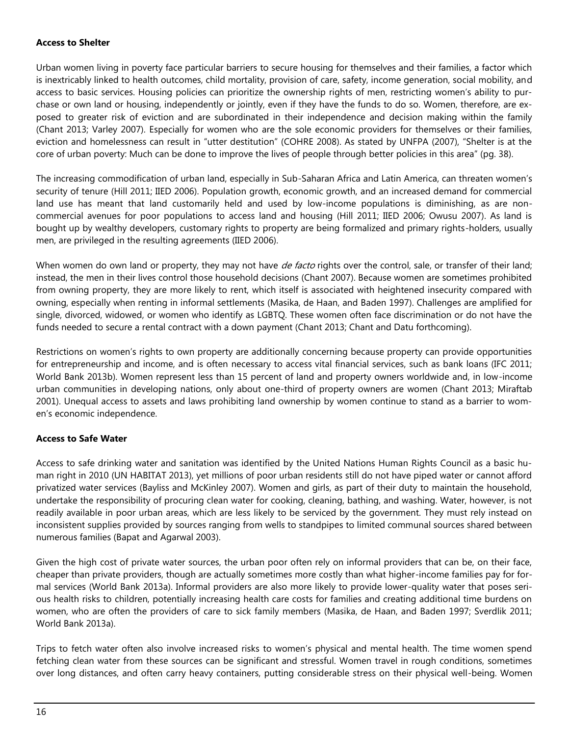#### **Access to Shelter**

Urban women living in poverty face particular barriers to secure housing for themselves and their families, a factor which is inextricably linked to health outcomes, child mortality, provision of care, safety, income generation, social mobility, and access to basic services. Housing policies can prioritize the ownership rights of men, restricting women's ability to purchase or own land or housing, independently or jointly, even if they have the funds to do so. Women, therefore, are exposed to greater risk of eviction and are subordinated in their independence and decision making within the family (Chant 2013; Varley 2007). Especially for women who are the sole economic providers for themselves or their families, eviction and homelessness can result in "utter destitution" (COHRE 2008). As stated by UNFPA (2007), "Shelter is at the core of urban poverty: Much can be done to improve the lives of people through better policies in this area" (pg. 38).

The increasing commodification of urban land, especially in Sub-Saharan Africa and Latin America, can threaten women's security of tenure (Hill 2011; IIED 2006). Population growth, economic growth, and an increased demand for commercial land use has meant that land customarily held and used by low-income populations is diminishing, as are noncommercial avenues for poor populations to access land and housing (Hill 2011; IIED 2006; Owusu 2007). As land is bought up by wealthy developers, customary rights to property are being formalized and primary rights-holders, usually men, are privileged in the resulting agreements (IIED 2006).

When women do own land or property, they may not have *de facto* rights over the control, sale, or transfer of their land; instead, the men in their lives control those household decisions (Chant 2007). Because women are sometimes prohibited from owning property, they are more likely to rent, which itself is associated with heightened insecurity compared with owning, especially when renting in informal settlements (Masika, de Haan, and Baden 1997). Challenges are amplified for single, divorced, widowed, or women who identify as LGBTQ. These women often face discrimination or do not have the funds needed to secure a rental contract with a down payment (Chant 2013; Chant and Datu forthcoming).

Restrictions on women's rights to own property are additionally concerning because property can provide opportunities for entrepreneurship and income, and is often necessary to access vital financial services, such as bank loans (IFC 2011; World Bank 2013b). Women represent less than 15 percent of land and property owners worldwide and, in low-income urban communities in developing nations, only about one-third of property owners are women (Chant 2013; Miraftab 2001). Unequal access to assets and laws prohibiting land ownership by women continue to stand as a barrier to women's economic independence.

## **Access to Safe Water**

Access to safe drinking water and sanitation was identified by the United Nations Human Rights Council as a basic human right in 2010 (UN HABITAT 2013), yet millions of poor urban residents still do not have piped water or cannot afford privatized water services (Bayliss and McKinley 2007). Women and girls, as part of their duty to maintain the household, undertake the responsibility of procuring clean water for cooking, cleaning, bathing, and washing. Water, however, is not readily available in poor urban areas, which are less likely to be serviced by the government. They must rely instead on inconsistent supplies provided by sources ranging from wells to standpipes to limited communal sources shared between numerous families (Bapat and Agarwal 2003).

Given the high cost of private water sources, the urban poor often rely on informal providers that can be, on their face, cheaper than private providers, though are actually sometimes more costly than what higher-income families pay for formal services (World Bank 2013a). Informal providers are also more likely to provide lower-quality water that poses serious health risks to children, potentially increasing health care costs for families and creating additional time burdens on women, who are often the providers of care to sick family members (Masika, de Haan, and Baden 1997; Sverdlik 2011; World Bank 2013a).

Trips to fetch water often also involve increased risks to women's physical and mental health. The time women spend fetching clean water from these sources can be significant and stressful. Women travel in rough conditions, sometimes over long distances, and often carry heavy containers, putting considerable stress on their physical well-being. Women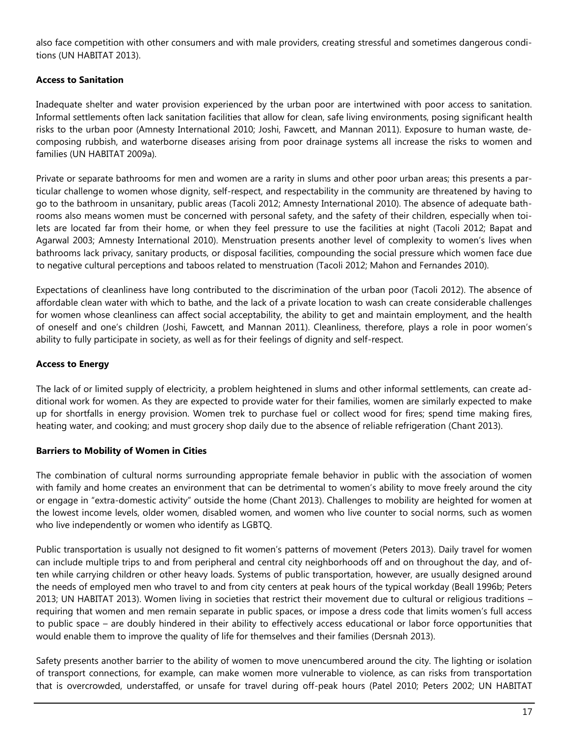also face competition with other consumers and with male providers, creating stressful and sometimes dangerous conditions (UN HABITAT 2013).

## **Access to Sanitation**

Inadequate shelter and water provision experienced by the urban poor are intertwined with poor access to sanitation. Informal settlements often lack sanitation facilities that allow for clean, safe living environments, posing significant health risks to the urban poor (Amnesty International 2010; Joshi, Fawcett, and Mannan 2011). Exposure to human waste, decomposing rubbish, and waterborne diseases arising from poor drainage systems all increase the risks to women and families (UN HABITAT 2009a).

Private or separate bathrooms for men and women are a rarity in slums and other poor urban areas; this presents a particular challenge to women whose dignity, self-respect, and respectability in the community are threatened by having to go to the bathroom in unsanitary, public areas (Tacoli 2012; Amnesty International 2010). The absence of adequate bathrooms also means women must be concerned with personal safety, and the safety of their children, especially when toilets are located far from their home, or when they feel pressure to use the facilities at night (Tacoli 2012; Bapat and Agarwal 2003; Amnesty International 2010). Menstruation presents another level of complexity to women's lives when bathrooms lack privacy, sanitary products, or disposal facilities, compounding the social pressure which women face due to negative cultural perceptions and taboos related to menstruation (Tacoli 2012; Mahon and Fernandes 2010).

Expectations of cleanliness have long contributed to the discrimination of the urban poor (Tacoli 2012). The absence of affordable clean water with which to bathe, and the lack of a private location to wash can create considerable challenges for women whose cleanliness can affect social acceptability, the ability to get and maintain employment, and the health of oneself and one's children (Joshi, Fawcett, and Mannan 2011). Cleanliness, therefore, plays a role in poor women's ability to fully participate in society, as well as for their feelings of dignity and self-respect.

#### **Access to Energy**

The lack of or limited supply of electricity, a problem heightened in slums and other informal settlements, can create additional work for women. As they are expected to provide water for their families, women are similarly expected to make up for shortfalls in energy provision. Women trek to purchase fuel or collect wood for fires; spend time making fires, heating water, and cooking; and must grocery shop daily due to the absence of reliable refrigeration (Chant 2013).

#### **Barriers to Mobility of Women in Cities**

The combination of cultural norms surrounding appropriate female behavior in public with the association of women with family and home creates an environment that can be detrimental to women's ability to move freely around the city or engage in "extra-domestic activity" outside the home (Chant 2013). Challenges to mobility are heighted for women at the lowest income levels, older women, disabled women, and women who live counter to social norms, such as women who live independently or women who identify as LGBTQ.

Public transportation is usually not designed to fit women's patterns of movement (Peters 2013). Daily travel for women can include multiple trips to and from peripheral and central city neighborhoods off and on throughout the day, and often while carrying children or other heavy loads. Systems of public transportation, however, are usually designed around the needs of employed men who travel to and from city centers at peak hours of the typical workday (Beall 1996b; Peters 2013; UN HABITAT 2013). Women living in societies that restrict their movement due to cultural or religious traditions – requiring that women and men remain separate in public spaces, or impose a dress code that limits women's full access to public space – are doubly hindered in their ability to effectively access educational or labor force opportunities that would enable them to improve the quality of life for themselves and their families (Dersnah 2013).

Safety presents another barrier to the ability of women to move unencumbered around the city. The lighting or isolation of transport connections, for example, can make women more vulnerable to violence, as can risks from transportation that is overcrowded, understaffed, or unsafe for travel during off-peak hours (Patel 2010; Peters 2002; UN HABITAT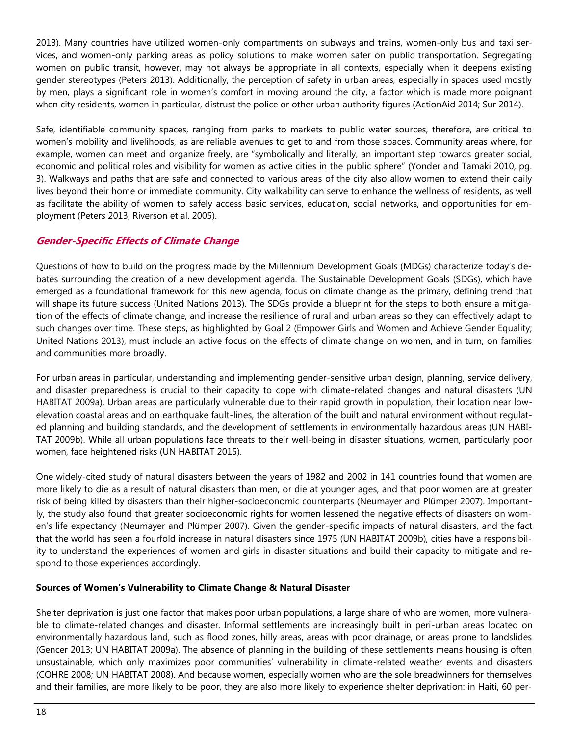2013). Many countries have utilized women-only compartments on subways and trains, women-only bus and taxi services, and women-only parking areas as policy solutions to make women safer on public transportation. Segregating women on public transit, however, may not always be appropriate in all contexts, especially when it deepens existing gender stereotypes (Peters 2013). Additionally, the perception of safety in urban areas, especially in spaces used mostly by men, plays a significant role in women's comfort in moving around the city, a factor which is made more poignant when city residents, women in particular, distrust the police or other urban authority figures (ActionAid 2014; Sur 2014).

Safe, identifiable community spaces, ranging from parks to markets to public water sources, therefore, are critical to women's mobility and livelihoods, as are reliable avenues to get to and from those spaces. Community areas where, for example, women can meet and organize freely, are "symbolically and literally, an important step towards greater social, economic and political roles and visibility for women as active cities in the public sphere" (Yonder and Tamaki 2010, pg. 3). Walkways and paths that are safe and connected to various areas of the city also allow women to extend their daily lives beyond their home or immediate community. City walkability can serve to enhance the wellness of residents, as well as facilitate the ability of women to safely access basic services, education, social networks, and opportunities for employment (Peters 2013; Riverson et al. 2005).

## **Gender-Specific Effects of Climate Change**

Questions of how to build on the progress made by the Millennium Development Goals (MDGs) characterize today's debates surrounding the creation of a new development agenda. The Sustainable Development Goals (SDGs), which have emerged as a foundational framework for this new agenda, focus on climate change as the primary, defining trend that will shape its future success (United Nations 2013). The SDGs provide a blueprint for the steps to both ensure a mitigation of the effects of climate change, and increase the resilience of rural and urban areas so they can effectively adapt to such changes over time. These steps, as highlighted by Goal 2 (Empower Girls and Women and Achieve Gender Equality; United Nations 2013), must include an active focus on the effects of climate change on women, and in turn, on families and communities more broadly.

For urban areas in particular, understanding and implementing gender-sensitive urban design, planning, service delivery, and disaster preparedness is crucial to their capacity to cope with climate-related changes and natural disasters (UN HABITAT 2009a). Urban areas are particularly vulnerable due to their rapid growth in population, their location near lowelevation coastal areas and on earthquake fault-lines, the alteration of the built and natural environment without regulated planning and building standards, and the development of settlements in environmentally hazardous areas (UN HABI-TAT 2009b). While all urban populations face threats to their well-being in disaster situations, women, particularly poor women, face heightened risks (UN HABITAT 2015).

One widely-cited study of natural disasters between the years of 1982 and 2002 in 141 countries found that women are more likely to die as a result of natural disasters than men, or die at younger ages, and that poor women are at greater risk of being killed by disasters than their higher-socioeconomic counterparts (Neumayer and Plümper 2007). Importantly, the study also found that greater socioeconomic rights for women lessened the negative effects of disasters on women's life expectancy (Neumayer and Plümper 2007). Given the gender-specific impacts of natural disasters, and the fact that the world has seen a fourfold increase in natural disasters since 1975 (UN HABITAT 2009b), cities have a responsibility to understand the experiences of women and girls in disaster situations and build their capacity to mitigate and respond to those experiences accordingly.

## **Sources of Women's Vulnerability to Climate Change & Natural Disaster**

Shelter deprivation is just one factor that makes poor urban populations, a large share of who are women, more vulnerable to climate-related changes and disaster. Informal settlements are increasingly built in peri-urban areas located on environmentally hazardous land, such as flood zones, hilly areas, areas with poor drainage, or areas prone to landslides (Gencer 2013; UN HABITAT 2009a). The absence of planning in the building of these settlements means housing is often unsustainable, which only maximizes poor communities' vulnerability in climate-related weather events and disasters (COHRE 2008; UN HABITAT 2008). And because women, especially women who are the sole breadwinners for themselves and their families, are more likely to be poor, they are also more likely to experience shelter deprivation: in Haiti, 60 per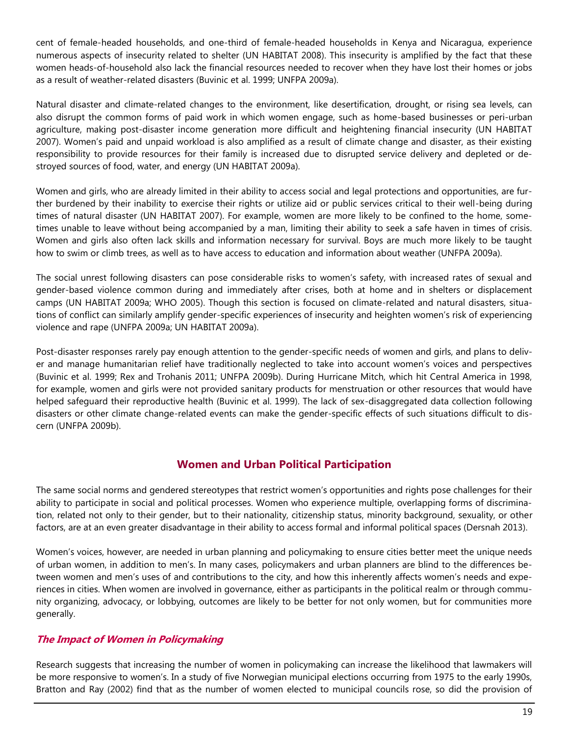cent of female-headed households, and one-third of female-headed households in Kenya and Nicaragua, experience numerous aspects of insecurity related to shelter (UN HABITAT 2008). This insecurity is amplified by the fact that these women heads-of-household also lack the financial resources needed to recover when they have lost their homes or jobs as a result of weather-related disasters (Buvinic et al. 1999; UNFPA 2009a).

Natural disaster and climate-related changes to the environment, like desertification, drought, or rising sea levels, can also disrupt the common forms of paid work in which women engage, such as home-based businesses or peri-urban agriculture, making post-disaster income generation more difficult and heightening financial insecurity (UN HABITAT 2007). Women's paid and unpaid workload is also amplified as a result of climate change and disaster, as their existing responsibility to provide resources for their family is increased due to disrupted service delivery and depleted or destroyed sources of food, water, and energy (UN HABITAT 2009a).

Women and girls, who are already limited in their ability to access social and legal protections and opportunities, are further burdened by their inability to exercise their rights or utilize aid or public services critical to their well-being during times of natural disaster (UN HABITAT 2007). For example, women are more likely to be confined to the home, sometimes unable to leave without being accompanied by a man, limiting their ability to seek a safe haven in times of crisis. Women and girls also often lack skills and information necessary for survival. Boys are much more likely to be taught how to swim or climb trees, as well as to have access to education and information about weather (UNFPA 2009a).

The social unrest following disasters can pose considerable risks to women's safety, with increased rates of sexual and gender-based violence common during and immediately after crises, both at home and in shelters or displacement camps (UN HABITAT 2009a; WHO 2005). Though this section is focused on climate-related and natural disasters, situations of conflict can similarly amplify gender-specific experiences of insecurity and heighten women's risk of experiencing violence and rape (UNFPA 2009a; UN HABITAT 2009a).

Post-disaster responses rarely pay enough attention to the gender-specific needs of women and girls, and plans to deliver and manage humanitarian relief have traditionally neglected to take into account women's voices and perspectives (Buvinic et al. 1999; Rex and Trohanis 2011; UNFPA 2009b). During Hurricane Mitch, which hit Central America in 1998, for example, women and girls were not provided sanitary products for menstruation or other resources that would have helped safeguard their reproductive health (Buvinic et al. 1999). The lack of sex-disaggregated data collection following disasters or other climate change-related events can make the gender-specific effects of such situations difficult to discern (UNFPA 2009b).

## **Women and Urban Political Participation**

The same social norms and gendered stereotypes that restrict women's opportunities and rights pose challenges for their ability to participate in social and political processes. Women who experience multiple, overlapping forms of discrimination, related not only to their gender, but to their nationality, citizenship status, minority background, sexuality, or other factors, are at an even greater disadvantage in their ability to access formal and informal political spaces (Dersnah 2013).

Women's voices, however, are needed in urban planning and policymaking to ensure cities better meet the unique needs of urban women, in addition to men's. In many cases, policymakers and urban planners are blind to the differences between women and men's uses of and contributions to the city, and how this inherently affects women's needs and experiences in cities. When women are involved in governance, either as participants in the political realm or through community organizing, advocacy, or lobbying, outcomes are likely to be better for not only women, but for communities more generally.

## **The Impact of Women in Policymaking**

Research suggests that increasing the number of women in policymaking can increase the likelihood that lawmakers will be more responsive to women's. In a study of five Norwegian municipal elections occurring from 1975 to the early 1990s, Bratton and Ray (2002) find that as the number of women elected to municipal councils rose, so did the provision of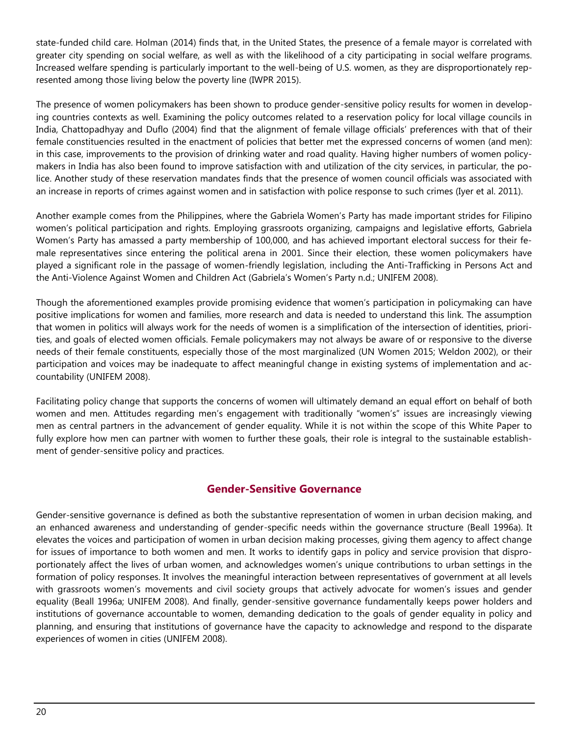state-funded child care. Holman (2014) finds that, in the United States, the presence of a female mayor is correlated with greater city spending on social welfare, as well as with the likelihood of a city participating in social welfare programs. Increased welfare spending is particularly important to the well-being of U.S. women, as they are disproportionately represented among those living below the poverty line (IWPR 2015).

The presence of women policymakers has been shown to produce gender-sensitive policy results for women in developing countries contexts as well. Examining the policy outcomes related to a reservation policy for local village councils in India, Chattopadhyay and Duflo (2004) find that the alignment of female village officials' preferences with that of their female constituencies resulted in the enactment of policies that better met the expressed concerns of women (and men): in this case, improvements to the provision of drinking water and road quality. Having higher numbers of women policymakers in India has also been found to improve satisfaction with and utilization of the city services, in particular, the police. Another study of these reservation mandates finds that the presence of women council officials was associated with an increase in reports of crimes against women and in satisfaction with police response to such crimes (Iyer et al. 2011).

Another example comes from the Philippines, where the Gabriela Women's Party has made important strides for Filipino women's political participation and rights. Employing grassroots organizing, campaigns and legislative efforts, Gabriela Women's Party has amassed a party membership of 100,000, and has achieved important electoral success for their female representatives since entering the political arena in 2001. Since their election, these women policymakers have played a significant role in the passage of women-friendly legislation, including the Anti-Trafficking in Persons Act and the Anti-Violence Against Women and Children Act (Gabriela's Women's Party n.d.; UNIFEM 2008).

Though the aforementioned examples provide promising evidence that women's participation in policymaking can have positive implications for women and families, more research and data is needed to understand this link. The assumption that women in politics will always work for the needs of women is a simplification of the intersection of identities, priorities, and goals of elected women officials. Female policymakers may not always be aware of or responsive to the diverse needs of their female constituents, especially those of the most marginalized (UN Women 2015; Weldon 2002), or their participation and voices may be inadequate to affect meaningful change in existing systems of implementation and accountability (UNIFEM 2008).

Facilitating policy change that supports the concerns of women will ultimately demand an equal effort on behalf of both women and men. Attitudes regarding men's engagement with traditionally "women's" issues are increasingly viewing men as central partners in the advancement of gender equality. While it is not within the scope of this White Paper to fully explore how men can partner with women to further these goals, their role is integral to the sustainable establishment of gender-sensitive policy and practices.

## **Gender-Sensitive Governance**

Gender-sensitive governance is defined as both the substantive representation of women in urban decision making, and an enhanced awareness and understanding of gender-specific needs within the governance structure (Beall 1996a). It elevates the voices and participation of women in urban decision making processes, giving them agency to affect change for issues of importance to both women and men. It works to identify gaps in policy and service provision that disproportionately affect the lives of urban women, and acknowledges women's unique contributions to urban settings in the formation of policy responses. It involves the meaningful interaction between representatives of government at all levels with grassroots women's movements and civil society groups that actively advocate for women's issues and gender equality (Beall 1996a; UNIFEM 2008). And finally, gender-sensitive governance fundamentally keeps power holders and institutions of governance accountable to women, demanding dedication to the goals of gender equality in policy and planning, and ensuring that institutions of governance have the capacity to acknowledge and respond to the disparate experiences of women in cities (UNIFEM 2008).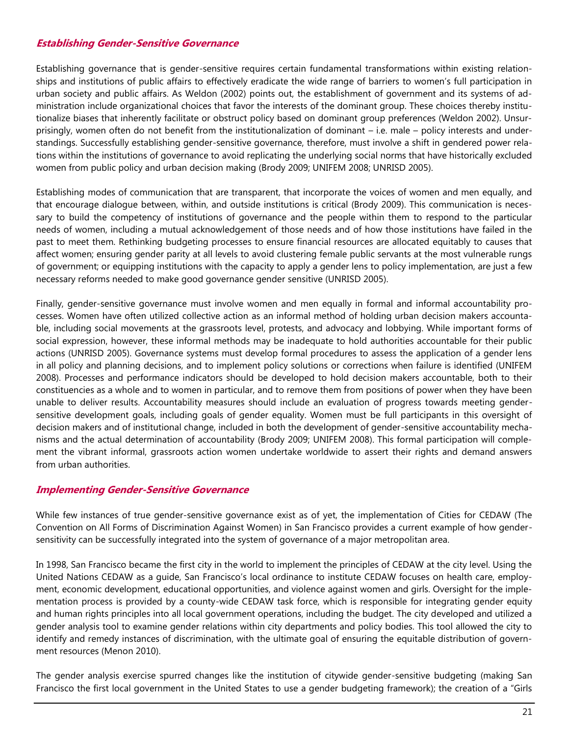## **Establishing Gender-Sensitive Governance**

Establishing governance that is gender-sensitive requires certain fundamental transformations within existing relationships and institutions of public affairs to effectively eradicate the wide range of barriers to women's full participation in urban society and public affairs. As Weldon (2002) points out, the establishment of government and its systems of administration include organizational choices that favor the interests of the dominant group. These choices thereby institutionalize biases that inherently facilitate or obstruct policy based on dominant group preferences (Weldon 2002). Unsurprisingly, women often do not benefit from the institutionalization of dominant – i.e. male – policy interests and understandings. Successfully establishing gender-sensitive governance, therefore, must involve a shift in gendered power relations within the institutions of governance to avoid replicating the underlying social norms that have historically excluded women from public policy and urban decision making (Brody 2009; UNIFEM 2008; UNRISD 2005).

Establishing modes of communication that are transparent, that incorporate the voices of women and men equally, and that encourage dialogue between, within, and outside institutions is critical (Brody 2009). This communication is necessary to build the competency of institutions of governance and the people within them to respond to the particular needs of women, including a mutual acknowledgement of those needs and of how those institutions have failed in the past to meet them. Rethinking budgeting processes to ensure financial resources are allocated equitably to causes that affect women; ensuring gender parity at all levels to avoid clustering female public servants at the most vulnerable rungs of government; or equipping institutions with the capacity to apply a gender lens to policy implementation, are just a few necessary reforms needed to make good governance gender sensitive (UNRISD 2005).

Finally, gender-sensitive governance must involve women and men equally in formal and informal accountability processes. Women have often utilized collective action as an informal method of holding urban decision makers accountable, including social movements at the grassroots level, protests, and advocacy and lobbying. While important forms of social expression, however, these informal methods may be inadequate to hold authorities accountable for their public actions (UNRISD 2005). Governance systems must develop formal procedures to assess the application of a gender lens in all policy and planning decisions, and to implement policy solutions or corrections when failure is identified (UNIFEM 2008). Processes and performance indicators should be developed to hold decision makers accountable, both to their constituencies as a whole and to women in particular, and to remove them from positions of power when they have been unable to deliver results. Accountability measures should include an evaluation of progress towards meeting gendersensitive development goals, including goals of gender equality. Women must be full participants in this oversight of decision makers and of institutional change, included in both the development of gender-sensitive accountability mechanisms and the actual determination of accountability (Brody 2009; UNIFEM 2008). This formal participation will complement the vibrant informal, grassroots action women undertake worldwide to assert their rights and demand answers from urban authorities.

## **Implementing Gender-Sensitive Governance**

While few instances of true gender-sensitive governance exist as of yet, the implementation of Cities for CEDAW (The Convention on All Forms of Discrimination Against Women) in San Francisco provides a current example of how gendersensitivity can be successfully integrated into the system of governance of a major metropolitan area.

In 1998, San Francisco became the first city in the world to implement the principles of CEDAW at the city level. Using the United Nations CEDAW as a guide, San Francisco's local ordinance to institute CEDAW focuses on health care, employment, economic development, educational opportunities, and violence against women and girls. Oversight for the implementation process is provided by a county-wide CEDAW task force, which is responsible for integrating gender equity and human rights principles into all local government operations, including the budget. The city developed and utilized a gender analysis tool to examine gender relations within city departments and policy bodies. This tool allowed the city to identify and remedy instances of discrimination, with the ultimate goal of ensuring the equitable distribution of government resources (Menon 2010).

The gender analysis exercise spurred changes like the institution of citywide gender-sensitive budgeting (making San Francisco the first local government in the United States to use a gender budgeting framework); the creation of a "Girls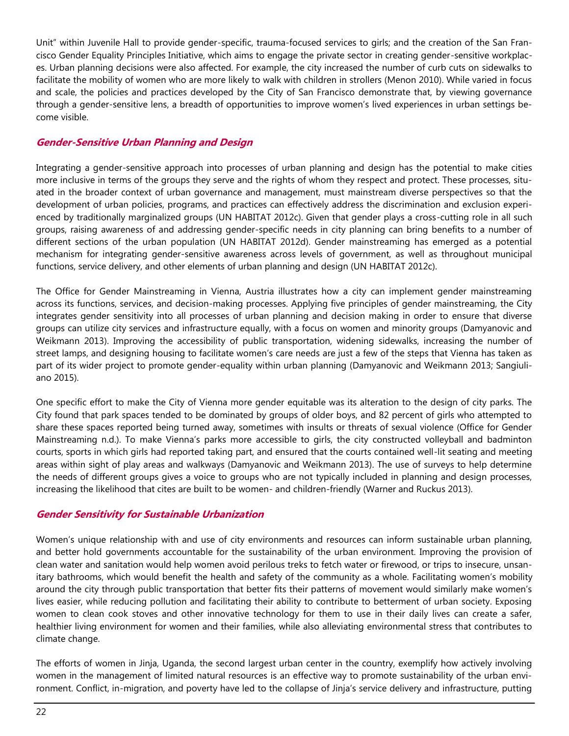Unit" within Juvenile Hall to provide gender-specific, trauma-focused services to girls; and the creation of the San Francisco Gender Equality Principles Initiative, which aims to engage the private sector in creating gender-sensitive workplaces. Urban planning decisions were also affected. For example, the city increased the number of curb cuts on sidewalks to facilitate the mobility of women who are more likely to walk with children in strollers (Menon 2010). While varied in focus and scale, the policies and practices developed by the City of San Francisco demonstrate that, by viewing governance through a gender-sensitive lens, a breadth of opportunities to improve women's lived experiences in urban settings become visible.

## **Gender-Sensitive Urban Planning and Design**

Integrating a gender-sensitive approach into processes of urban planning and design has the potential to make cities more inclusive in terms of the groups they serve and the rights of whom they respect and protect. These processes, situated in the broader context of urban governance and management, must mainstream diverse perspectives so that the development of urban policies, programs, and practices can effectively address the discrimination and exclusion experienced by traditionally marginalized groups (UN HABITAT 2012c). Given that gender plays a cross-cutting role in all such groups, raising awareness of and addressing gender-specific needs in city planning can bring benefits to a number of different sections of the urban population (UN HABITAT 2012d). Gender mainstreaming has emerged as a potential mechanism for integrating gender-sensitive awareness across levels of government, as well as throughout municipal functions, service delivery, and other elements of urban planning and design (UN HABITAT 2012c).

The Office for Gender Mainstreaming in Vienna, Austria illustrates how a city can implement gender mainstreaming across its functions, services, and decision-making processes. Applying five principles of gender mainstreaming, the City integrates gender sensitivity into all processes of urban planning and decision making in order to ensure that diverse groups can utilize city services and infrastructure equally, with a focus on women and minority groups (Damyanovic and Weikmann 2013). Improving the accessibility of public transportation, widening sidewalks, increasing the number of street lamps, and designing housing to facilitate women's care needs are just a few of the steps that Vienna has taken as part of its wider project to promote gender-equality within urban planning (Damyanovic and Weikmann 2013; Sangiuliano 2015).

One specific effort to make the City of Vienna more gender equitable was its alteration to the design of city parks. The City found that park spaces tended to be dominated by groups of older boys, and 82 percent of girls who attempted to share these spaces reported being turned away, sometimes with insults or threats of sexual violence (Office for Gender Mainstreaming n.d.). To make Vienna's parks more accessible to girls, the city constructed volleyball and badminton courts, sports in which girls had reported taking part, and ensured that the courts contained well-lit seating and meeting areas within sight of play areas and walkways (Damyanovic and Weikmann 2013). The use of surveys to help determine the needs of different groups gives a voice to groups who are not typically included in planning and design processes, increasing the likelihood that cites are built to be women- and children-friendly (Warner and Ruckus 2013).

## **Gender Sensitivity for Sustainable Urbanization**

Women's unique relationship with and use of city environments and resources can inform sustainable urban planning, and better hold governments accountable for the sustainability of the urban environment. Improving the provision of clean water and sanitation would help women avoid perilous treks to fetch water or firewood, or trips to insecure, unsanitary bathrooms, which would benefit the health and safety of the community as a whole. Facilitating women's mobility around the city through public transportation that better fits their patterns of movement would similarly make women's lives easier, while reducing pollution and facilitating their ability to contribute to betterment of urban society. Exposing women to clean cook stoves and other innovative technology for them to use in their daily lives can create a safer, healthier living environment for women and their families, while also alleviating environmental stress that contributes to climate change.

The efforts of women in Jinja, Uganda, the second largest urban center in the country, exemplify how actively involving women in the management of limited natural resources is an effective way to promote sustainability of the urban environment. Conflict, in-migration, and poverty have led to the collapse of Jinja's service delivery and infrastructure, putting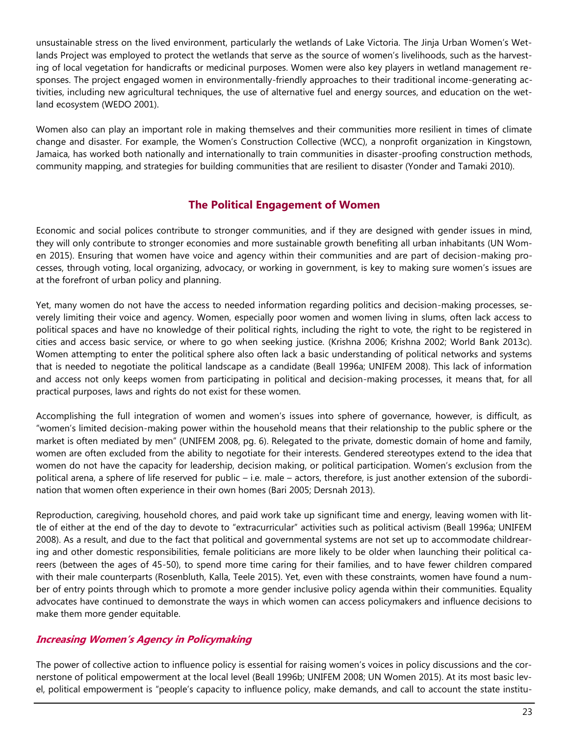unsustainable stress on the lived environment, particularly the wetlands of Lake Victoria. The Jinja Urban Women's Wetlands Project was employed to protect the wetlands that serve as the source of women's livelihoods, such as the harvesting of local vegetation for handicrafts or medicinal purposes. Women were also key players in wetland management responses. The project engaged women in environmentally-friendly approaches to their traditional income-generating activities, including new agricultural techniques, the use of alternative fuel and energy sources, and education on the wetland ecosystem (WEDO 2001).

Women also can play an important role in making themselves and their communities more resilient in times of climate change and disaster. For example, the Women's Construction Collective (WCC), a nonprofit organization in Kingstown, Jamaica, has worked both nationally and internationally to train communities in disaster-proofing construction methods, community mapping, and strategies for building communities that are resilient to disaster (Yonder and Tamaki 2010).

## **The Political Engagement of Women**

Economic and social polices contribute to stronger communities, and if they are designed with gender issues in mind, they will only contribute to stronger economies and more sustainable growth benefiting all urban inhabitants (UN Women 2015). Ensuring that women have voice and agency within their communities and are part of decision-making processes, through voting, local organizing, advocacy, or working in government, is key to making sure women's issues are at the forefront of urban policy and planning.

Yet, many women do not have the access to needed information regarding politics and decision-making processes, severely limiting their voice and agency. Women, especially poor women and women living in slums, often lack access to political spaces and have no knowledge of their political rights, including the right to vote, the right to be registered in cities and access basic service, or where to go when seeking justice. (Krishna 2006; Krishna 2002; World Bank 2013c). Women attempting to enter the political sphere also often lack a basic understanding of political networks and systems that is needed to negotiate the political landscape as a candidate (Beall 1996a; UNIFEM 2008). This lack of information and access not only keeps women from participating in political and decision-making processes, it means that, for all practical purposes, laws and rights do not exist for these women.

Accomplishing the full integration of women and women's issues into sphere of governance, however, is difficult, as "women's limited decision-making power within the household means that their relationship to the public sphere or the market is often mediated by men" (UNIFEM 2008, pg. 6). Relegated to the private, domestic domain of home and family, women are often excluded from the ability to negotiate for their interests. Gendered stereotypes extend to the idea that women do not have the capacity for leadership, decision making, or political participation. Women's exclusion from the political arena, a sphere of life reserved for public – i.e. male – actors, therefore, is just another extension of the subordination that women often experience in their own homes (Bari 2005; Dersnah 2013).

Reproduction, caregiving, household chores, and paid work take up significant time and energy, leaving women with little of either at the end of the day to devote to "extracurricular" activities such as political activism (Beall 1996a; UNIFEM 2008). As a result, and due to the fact that political and governmental systems are not set up to accommodate childrearing and other domestic responsibilities, female politicians are more likely to be older when launching their political careers (between the ages of 45-50), to spend more time caring for their families, and to have fewer children compared with their male counterparts (Rosenbluth, Kalla, Teele 2015). Yet, even with these constraints, women have found a number of entry points through which to promote a more gender inclusive policy agenda within their communities. Equality advocates have continued to demonstrate the ways in which women can access policymakers and influence decisions to make them more gender equitable.

## **Increasing Women's Agency in Policymaking**

The power of collective action to influence policy is essential for raising women's voices in policy discussions and the cornerstone of political empowerment at the local level (Beall 1996b; UNIFEM 2008; UN Women 2015). At its most basic level, political empowerment is "people's capacity to influence policy, make demands, and call to account the state institu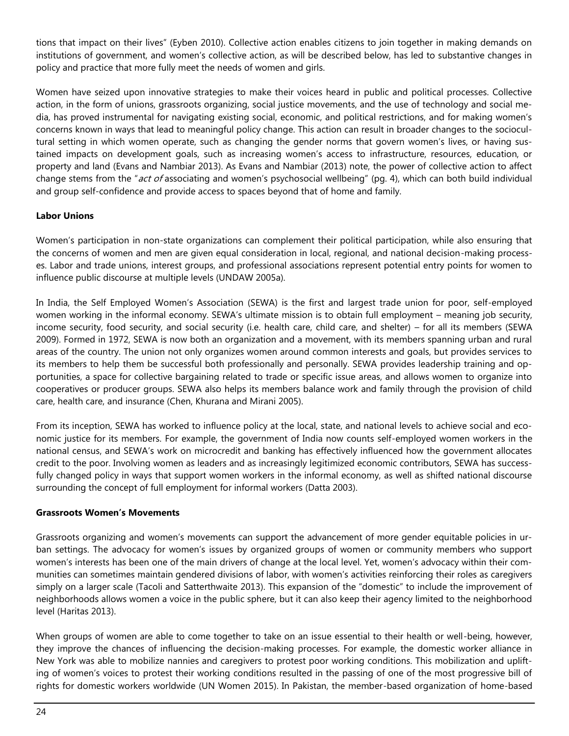tions that impact on their lives" (Eyben 2010). Collective action enables citizens to join together in making demands on institutions of government, and women's collective action, as will be described below, has led to substantive changes in policy and practice that more fully meet the needs of women and girls.

Women have seized upon innovative strategies to make their voices heard in public and political processes. Collective action, in the form of unions, grassroots organizing, social justice movements, and the use of technology and social media, has proved instrumental for navigating existing social, economic, and political restrictions, and for making women's concerns known in ways that lead to meaningful policy change. This action can result in broader changes to the sociocultural setting in which women operate, such as changing the gender norms that govern women's lives, or having sustained impacts on development goals, such as increasing women's access to infrastructure, resources, education, or property and land (Evans and Nambiar 2013). As Evans and Nambiar (2013) note, the power of collective action to affect change stems from the "act of associating and women's psychosocial wellbeing" (pg. 4), which can both build individual and group self-confidence and provide access to spaces beyond that of home and family.

## **Labor Unions**

Women's participation in non-state organizations can complement their political participation, while also ensuring that the concerns of women and men are given equal consideration in local, regional, and national decision-making processes. Labor and trade unions, interest groups, and professional associations represent potential entry points for women to influence public discourse at multiple levels (UNDAW 2005a).

In India, the Self Employed Women's Association (SEWA) is the first and largest trade union for poor, self-employed women working in the informal economy. SEWA's ultimate mission is to obtain full employment – meaning job security, income security, food security, and social security (i.e. health care, child care, and shelter) – for all its members (SEWA 2009). Formed in 1972, SEWA is now both an organization and a movement, with its members spanning urban and rural areas of the country. The union not only organizes women around common interests and goals, but provides services to its members to help them be successful both professionally and personally. SEWA provides leadership training and opportunities, a space for collective bargaining related to trade or specific issue areas, and allows women to organize into cooperatives or producer groups. SEWA also helps its members balance work and family through the provision of child care, health care, and insurance (Chen, Khurana and Mirani 2005).

From its inception, SEWA has worked to influence policy at the local, state, and national levels to achieve social and economic justice for its members. For example, the government of India now counts self-employed women workers in the national census, and SEWA's work on microcredit and banking has effectively influenced how the government allocates credit to the poor. Involving women as leaders and as increasingly legitimized economic contributors, SEWA has successfully changed policy in ways that support women workers in the informal economy, as well as shifted national discourse surrounding the concept of full employment for informal workers (Datta 2003).

## **Grassroots Women's Movements**

Grassroots organizing and women's movements can support the advancement of more gender equitable policies in urban settings. The advocacy for women's issues by organized groups of women or community members who support women's interests has been one of the main drivers of change at the local level. Yet, women's advocacy within their communities can sometimes maintain gendered divisions of labor, with women's activities reinforcing their roles as caregivers simply on a larger scale (Tacoli and Satterthwaite 2013). This expansion of the "domestic" to include the improvement of neighborhoods allows women a voice in the public sphere, but it can also keep their agency limited to the neighborhood level (Haritas 2013).

When groups of women are able to come together to take on an issue essential to their health or well-being, however, they improve the chances of influencing the decision-making processes. For example, the domestic worker alliance in New York was able to mobilize nannies and caregivers to protest poor working conditions. This mobilization and uplifting of women's voices to protest their working conditions resulted in the passing of one of the most progressive bill of rights for domestic workers worldwide (UN Women 2015). In Pakistan, the member-based organization of home-based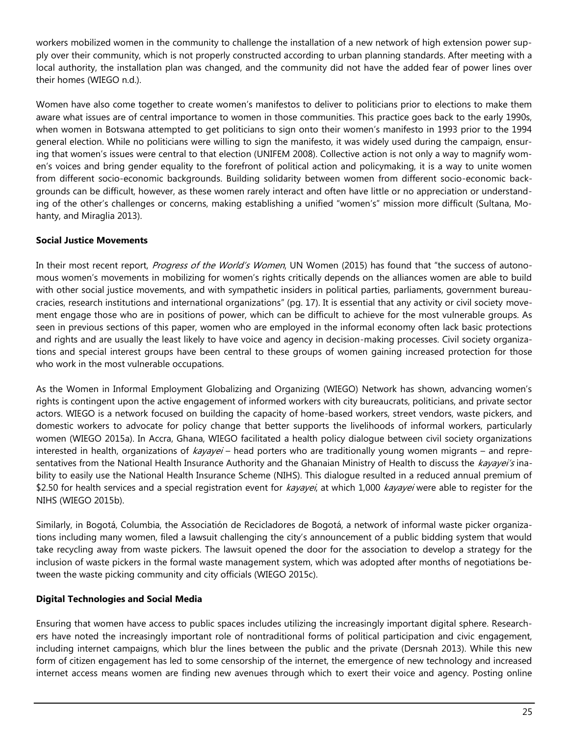workers mobilized women in the community to challenge the installation of a new network of high extension power supply over their community, which is not properly constructed according to urban planning standards. After meeting with a local authority, the installation plan was changed, and the community did not have the added fear of power lines over their homes (WIEGO n.d.).

Women have also come together to create women's manifestos to deliver to politicians prior to elections to make them aware what issues are of central importance to women in those communities. This practice goes back to the early 1990s, when women in Botswana attempted to get politicians to sign onto their women's manifesto in 1993 prior to the 1994 general election. While no politicians were willing to sign the manifesto, it was widely used during the campaign, ensuring that women's issues were central to that election (UNIFEM 2008). Collective action is not only a way to magnify women's voices and bring gender equality to the forefront of political action and policymaking, it is a way to unite women from different socio-economic backgrounds. Building solidarity between women from different socio-economic backgrounds can be difficult, however, as these women rarely interact and often have little or no appreciation or understanding of the other's challenges or concerns, making establishing a unified "women's" mission more difficult (Sultana, Mohanty, and Miraglia 2013).

## **Social Justice Movements**

In their most recent report, Progress of the World's Women, UN Women (2015) has found that "the success of autonomous women's movements in mobilizing for women's rights critically depends on the alliances women are able to build with other social justice movements, and with sympathetic insiders in political parties, parliaments, government bureaucracies, research institutions and international organizations" (pg. 17). It is essential that any activity or civil society movement engage those who are in positions of power, which can be difficult to achieve for the most vulnerable groups. As seen in previous sections of this paper, women who are employed in the informal economy often lack basic protections and rights and are usually the least likely to have voice and agency in decision-making processes. Civil society organizations and special interest groups have been central to these groups of women gaining increased protection for those who work in the most vulnerable occupations.

As the Women in Informal Employment Globalizing and Organizing (WIEGO) Network has shown, advancing women's rights is contingent upon the active engagement of informed workers with city bureaucrats, politicians, and private sector actors. WIEGO is a network focused on building the capacity of home-based workers, street vendors, waste pickers, and domestic workers to advocate for policy change that better supports the livelihoods of informal workers, particularly women (WIEGO 2015a). In Accra, Ghana, WIEGO facilitated a health policy dialogue between civil society organizations interested in health, organizations of *kayayei* – head porters who are traditionally young women migrants – and representatives from the National Health Insurance Authority and the Ghanaian Ministry of Health to discuss the *kayayei's* inability to easily use the National Health Insurance Scheme (NIHS). This dialogue resulted in a reduced annual premium of \$2.50 for health services and a special registration event for kayayei, at which 1,000 kayayei were able to register for the NIHS (WIEGO 2015b).

Similarly, in Bogotá, Columbia, the Associatión de Recicladores de Bogotá, a network of informal waste picker organizations including many women, filed a lawsuit challenging the city's announcement of a public bidding system that would take recycling away from waste pickers. The lawsuit opened the door for the association to develop a strategy for the inclusion of waste pickers in the formal waste management system, which was adopted after months of negotiations between the waste picking community and city officials (WIEGO 2015c).

## **Digital Technologies and Social Media**

Ensuring that women have access to public spaces includes utilizing the increasingly important digital sphere. Researchers have noted the increasingly important role of nontraditional forms of political participation and civic engagement, including internet campaigns, which blur the lines between the public and the private (Dersnah 2013). While this new form of citizen engagement has led to some censorship of the internet, the emergence of new technology and increased internet access means women are finding new avenues through which to exert their voice and agency. Posting online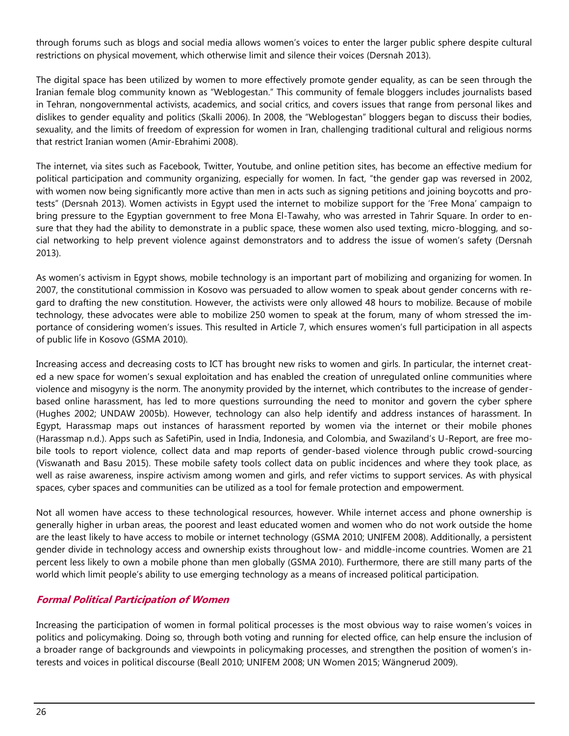through forums such as blogs and social media allows women's voices to enter the larger public sphere despite cultural restrictions on physical movement, which otherwise limit and silence their voices (Dersnah 2013).

The digital space has been utilized by women to more effectively promote gender equality, as can be seen through the Iranian female blog community known as "Weblogestan." This community of female bloggers includes journalists based in Tehran, nongovernmental activists, academics, and social critics, and covers issues that range from personal likes and dislikes to gender equality and politics (Skalli 2006). In 2008, the "Weblogestan" bloggers began to discuss their bodies, sexuality, and the limits of freedom of expression for women in Iran, challenging traditional cultural and religious norms that restrict Iranian women (Amir-Ebrahimi 2008).

The internet, via sites such as Facebook, Twitter, Youtube, and online petition sites, has become an effective medium for political participation and community organizing, especially for women. In fact, "the gender gap was reversed in 2002, with women now being significantly more active than men in acts such as signing petitions and joining boycotts and protests" (Dersnah 2013). Women activists in Egypt used the internet to mobilize support for the 'Free Mona' campaign to bring pressure to the Egyptian government to free Mona El-Tawahy, who was arrested in Tahrir Square. In order to ensure that they had the ability to demonstrate in a public space, these women also used texting, micro-blogging, and social networking to help prevent violence against demonstrators and to address the issue of women's safety (Dersnah 2013).

As women's activism in Egypt shows, mobile technology is an important part of mobilizing and organizing for women. In 2007, the constitutional commission in Kosovo was persuaded to allow women to speak about gender concerns with regard to drafting the new constitution. However, the activists were only allowed 48 hours to mobilize. Because of mobile technology, these advocates were able to mobilize 250 women to speak at the forum, many of whom stressed the importance of considering women's issues. This resulted in Article 7, which ensures women's full participation in all aspects of public life in Kosovo (GSMA 2010).

Increasing access and decreasing costs to ICT has brought new risks to women and girls. In particular, the internet created a new space for women's sexual exploitation and has enabled the creation of unregulated online communities where violence and misogyny is the norm. The anonymity provided by the internet, which contributes to the increase of genderbased online harassment, has led to more questions surrounding the need to monitor and govern the cyber sphere (Hughes 2002; UNDAW 2005b). However, technology can also help identify and address instances of harassment. In Egypt, Harassmap maps out instances of harassment reported by women via the internet or their mobile phones (Harassmap n.d.). Apps such as SafetiPin, used in India, Indonesia, and Colombia, and Swaziland's U-Report, are free mobile tools to report violence, collect data and map reports of gender-based violence through public crowd-sourcing (Viswanath and Basu 2015). These mobile safety tools collect data on public incidences and where they took place, as well as raise awareness, inspire activism among women and girls, and refer victims to support services. As with physical spaces, cyber spaces and communities can be utilized as a tool for female protection and empowerment.

Not all women have access to these technological resources, however. While internet access and phone ownership is generally higher in urban areas, the poorest and least educated women and women who do not work outside the home are the least likely to have access to mobile or internet technology (GSMA 2010; UNIFEM 2008). Additionally, a persistent gender divide in technology access and ownership exists throughout low- and middle-income countries. Women are 21 percent less likely to own a mobile phone than men globally (GSMA 2010). Furthermore, there are still many parts of the world which limit people's ability to use emerging technology as a means of increased political participation.

## **Formal Political Participation of Women**

Increasing the participation of women in formal political processes is the most obvious way to raise women's voices in politics and policymaking. Doing so, through both voting and running for elected office, can help ensure the inclusion of a broader range of backgrounds and viewpoints in policymaking processes, and strengthen the position of women's interests and voices in political discourse (Beall 2010; UNIFEM 2008; UN Women 2015; Wängnerud 2009).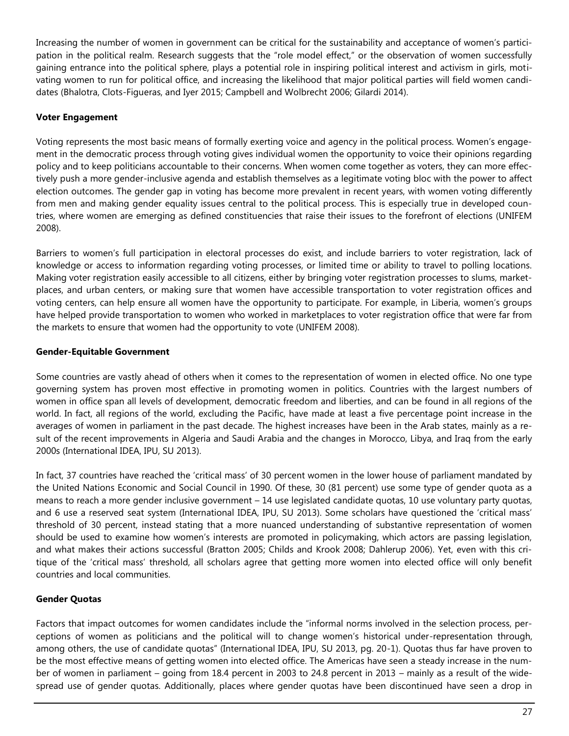Increasing the number of women in government can be critical for the sustainability and acceptance of women's participation in the political realm. Research suggests that the "role model effect," or the observation of women successfully gaining entrance into the political sphere, plays a potential role in inspiring political interest and activism in girls, motivating women to run for political office, and increasing the likelihood that major political parties will field women candidates (Bhalotra, Clots-Figueras, and Iyer 2015; Campbell and Wolbrecht 2006; Gilardi 2014).

## **Voter Engagement**

Voting represents the most basic means of formally exerting voice and agency in the political process. Women's engagement in the democratic process through voting gives individual women the opportunity to voice their opinions regarding policy and to keep politicians accountable to their concerns. When women come together as voters, they can more effectively push a more gender-inclusive agenda and establish themselves as a legitimate voting bloc with the power to affect election outcomes. The gender gap in voting has become more prevalent in recent years, with women voting differently from men and making gender equality issues central to the political process. This is especially true in developed countries, where women are emerging as defined constituencies that raise their issues to the forefront of elections (UNIFEM 2008).

Barriers to women's full participation in electoral processes do exist, and include barriers to voter registration, lack of knowledge or access to information regarding voting processes, or limited time or ability to travel to polling locations. Making voter registration easily accessible to all citizens, either by bringing voter registration processes to slums, marketplaces, and urban centers, or making sure that women have accessible transportation to voter registration offices and voting centers, can help ensure all women have the opportunity to participate. For example, in Liberia, women's groups have helped provide transportation to women who worked in marketplaces to voter registration office that were far from the markets to ensure that women had the opportunity to vote (UNIFEM 2008).

## **Gender-Equitable Government**

Some countries are vastly ahead of others when it comes to the representation of women in elected office. No one type governing system has proven most effective in promoting women in politics. Countries with the largest numbers of women in office span all levels of development, democratic freedom and liberties, and can be found in all regions of the world. In fact, all regions of the world, excluding the Pacific, have made at least a five percentage point increase in the averages of women in parliament in the past decade. The highest increases have been in the Arab states, mainly as a result of the recent improvements in Algeria and Saudi Arabia and the changes in Morocco, Libya, and Iraq from the early 2000s (International IDEA, IPU, SU 2013).

In fact, 37 countries have reached the 'critical mass' of 30 percent women in the lower house of parliament mandated by the United Nations Economic and Social Council in 1990. Of these, 30 (81 percent) use some type of gender quota as a means to reach a more gender inclusive government – 14 use legislated candidate quotas, 10 use voluntary party quotas, and 6 use a reserved seat system (International IDEA, IPU, SU 2013). Some scholars have questioned the 'critical mass' threshold of 30 percent, instead stating that a more nuanced understanding of substantive representation of women should be used to examine how women's interests are promoted in policymaking, which actors are passing legislation, and what makes their actions successful (Bratton 2005; Childs and Krook 2008; Dahlerup 2006). Yet, even with this critique of the 'critical mass' threshold, all scholars agree that getting more women into elected office will only benefit countries and local communities.

## **Gender Quotas**

Factors that impact outcomes for women candidates include the "informal norms involved in the selection process, perceptions of women as politicians and the political will to change women's historical under-representation through, among others, the use of candidate quotas" (International IDEA, IPU, SU 2013, pg. 20-1). Quotas thus far have proven to be the most effective means of getting women into elected office. The Americas have seen a steady increase in the number of women in parliament – going from 18.4 percent in 2003 to 24.8 percent in 2013 – mainly as a result of the widespread use of gender quotas. Additionally, places where gender quotas have been discontinued have seen a drop in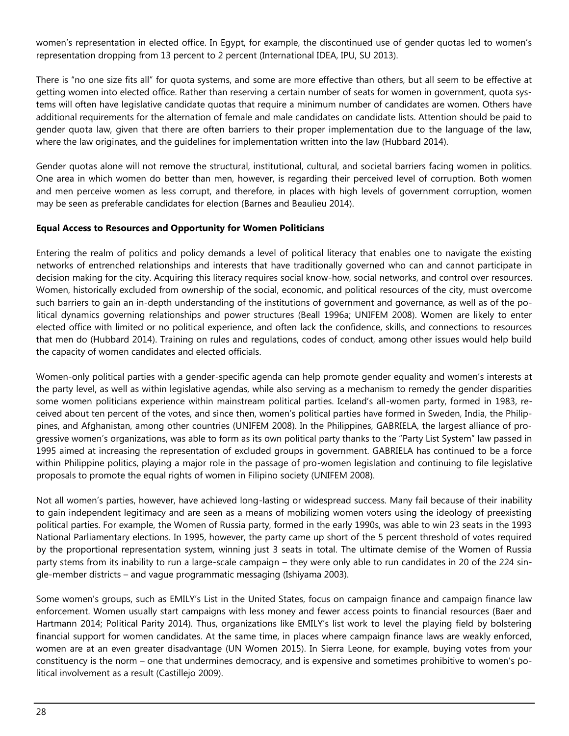women's representation in elected office. In Egypt, for example, the discontinued use of gender quotas led to women's representation dropping from 13 percent to 2 percent (International IDEA, IPU, SU 2013).

There is "no one size fits all" for quota systems, and some are more effective than others, but all seem to be effective at getting women into elected office. Rather than reserving a certain number of seats for women in government, quota systems will often have legislative candidate quotas that require a minimum number of candidates are women. Others have additional requirements for the alternation of female and male candidates on candidate lists. Attention should be paid to gender quota law, given that there are often barriers to their proper implementation due to the language of the law, where the law originates, and the guidelines for implementation written into the law (Hubbard 2014).

Gender quotas alone will not remove the structural, institutional, cultural, and societal barriers facing women in politics. One area in which women do better than men, however, is regarding their perceived level of corruption. Both women and men perceive women as less corrupt, and therefore, in places with high levels of government corruption, women may be seen as preferable candidates for election (Barnes and Beaulieu 2014).

#### **Equal Access to Resources and Opportunity for Women Politicians**

Entering the realm of politics and policy demands a level of political literacy that enables one to navigate the existing networks of entrenched relationships and interests that have traditionally governed who can and cannot participate in decision making for the city. Acquiring this literacy requires social know-how, social networks, and control over resources. Women, historically excluded from ownership of the social, economic, and political resources of the city, must overcome such barriers to gain an in-depth understanding of the institutions of government and governance, as well as of the political dynamics governing relationships and power structures (Beall 1996a; UNIFEM 2008). Women are likely to enter elected office with limited or no political experience, and often lack the confidence, skills, and connections to resources that men do (Hubbard 2014). Training on rules and regulations, codes of conduct, among other issues would help build the capacity of women candidates and elected officials.

Women-only political parties with a gender-specific agenda can help promote gender equality and women's interests at the party level, as well as within legislative agendas, while also serving as a mechanism to remedy the gender disparities some women politicians experience within mainstream political parties. Iceland's all-women party, formed in 1983, received about ten percent of the votes, and since then, women's political parties have formed in Sweden, India, the Philippines, and Afghanistan, among other countries (UNIFEM 2008). In the Philippines, GABRIELA, the largest alliance of progressive women's organizations, was able to form as its own political party thanks to the "Party List System" law passed in 1995 aimed at increasing the representation of excluded groups in government. GABRIELA has continued to be a force within Philippine politics, playing a major role in the passage of pro-women legislation and continuing to file legislative proposals to promote the equal rights of women in Filipino society (UNIFEM 2008).

Not all women's parties, however, have achieved long-lasting or widespread success. Many fail because of their inability to gain independent legitimacy and are seen as a means of mobilizing women voters using the ideology of preexisting political parties. For example, the Women of Russia party, formed in the early 1990s, was able to win 23 seats in the 1993 National Parliamentary elections. In 1995, however, the party came up short of the 5 percent threshold of votes required by the proportional representation system, winning just 3 seats in total. The ultimate demise of the Women of Russia party stems from its inability to run a large-scale campaign – they were only able to run candidates in 20 of the 224 single-member districts – and vague programmatic messaging (Ishiyama 2003).

Some women's groups, such as EMILY's List in the United States, focus on campaign finance and campaign finance law enforcement. Women usually start campaigns with less money and fewer access points to financial resources (Baer and Hartmann 2014; Political Parity 2014). Thus, organizations like EMILY's list work to level the playing field by bolstering financial support for women candidates. At the same time, in places where campaign finance laws are weakly enforced, women are at an even greater disadvantage (UN Women 2015). In Sierra Leone, for example, buying votes from your constituency is the norm – one that undermines democracy, and is expensive and sometimes prohibitive to women's political involvement as a result (Castillejo 2009).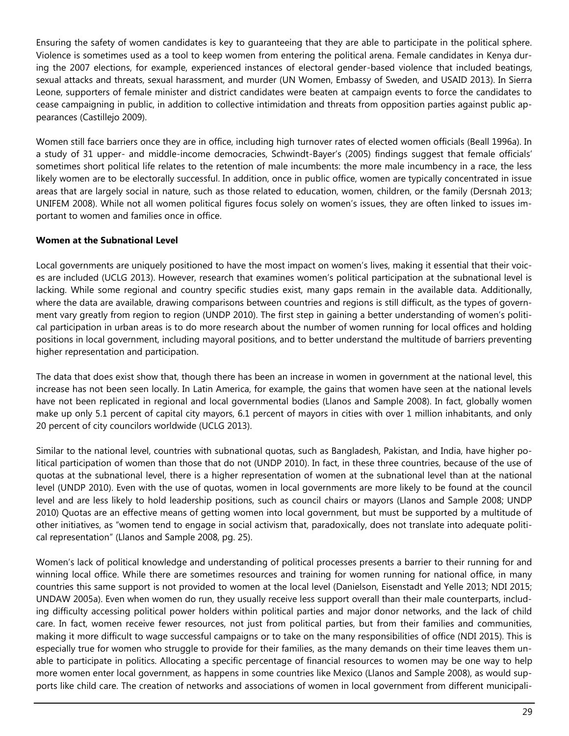Ensuring the safety of women candidates is key to guaranteeing that they are able to participate in the political sphere. Violence is sometimes used as a tool to keep women from entering the political arena. Female candidates in Kenya during the 2007 elections, for example, experienced instances of electoral gender-based violence that included beatings, sexual attacks and threats, sexual harassment, and murder (UN Women, Embassy of Sweden, and USAID 2013). In Sierra Leone, supporters of female minister and district candidates were beaten at campaign events to force the candidates to cease campaigning in public, in addition to collective intimidation and threats from opposition parties against public appearances (Castillejo 2009).

Women still face barriers once they are in office, including high turnover rates of elected women officials (Beall 1996a). In a study of 31 upper- and middle-income democracies, Schwindt-Bayer's (2005) findings suggest that female officials' sometimes short political life relates to the retention of male incumbents: the more male incumbency in a race, the less likely women are to be electorally successful. In addition, once in public office, women are typically concentrated in issue areas that are largely social in nature, such as those related to education, women, children, or the family (Dersnah 2013; UNIFEM 2008). While not all women political figures focus solely on women's issues, they are often linked to issues important to women and families once in office.

## **Women at the Subnational Level**

Local governments are uniquely positioned to have the most impact on women's lives, making it essential that their voices are included (UCLG 2013). However, research that examines women's political participation at the subnational level is lacking. While some regional and country specific studies exist, many gaps remain in the available data. Additionally, where the data are available, drawing comparisons between countries and regions is still difficult, as the types of government vary greatly from region to region (UNDP 2010). The first step in gaining a better understanding of women's political participation in urban areas is to do more research about the number of women running for local offices and holding positions in local government, including mayoral positions, and to better understand the multitude of barriers preventing higher representation and participation.

The data that does exist show that, though there has been an increase in women in government at the national level, this increase has not been seen locally. In Latin America, for example, the gains that women have seen at the national levels have not been replicated in regional and local governmental bodies (Llanos and Sample 2008). In fact, globally women make up only 5.1 percent of capital city mayors, 6.1 percent of mayors in cities with over 1 million inhabitants, and only 20 percent of city councilors worldwide (UCLG 2013).

Similar to the national level, countries with subnational quotas, such as Bangladesh, Pakistan, and India, have higher political participation of women than those that do not (UNDP 2010). In fact, in these three countries, because of the use of quotas at the subnational level, there is a higher representation of women at the subnational level than at the national level (UNDP 2010). Even with the use of quotas, women in local governments are more likely to be found at the council level and are less likely to hold leadership positions, such as council chairs or mayors (Llanos and Sample 2008; UNDP 2010) Quotas are an effective means of getting women into local government, but must be supported by a multitude of other initiatives, as "women tend to engage in social activism that, paradoxically, does not translate into adequate political representation" (Llanos and Sample 2008, pg. 25).

Women's lack of political knowledge and understanding of political processes presents a barrier to their running for and winning local office. While there are sometimes resources and training for women running for national office, in many countries this same support is not provided to women at the local level (Danielson, Eisenstadt and Yelle 2013; NDI 2015; UNDAW 2005a). Even when women do run, they usually receive less support overall than their male counterparts, including difficulty accessing political power holders within political parties and major donor networks, and the lack of child care. In fact, women receive fewer resources, not just from political parties, but from their families and communities, making it more difficult to wage successful campaigns or to take on the many responsibilities of office (NDI 2015). This is especially true for women who struggle to provide for their families, as the many demands on their time leaves them unable to participate in politics. Allocating a specific percentage of financial resources to women may be one way to help more women enter local government, as happens in some countries like Mexico (Llanos and Sample 2008), as would supports like child care. The creation of networks and associations of women in local government from different municipali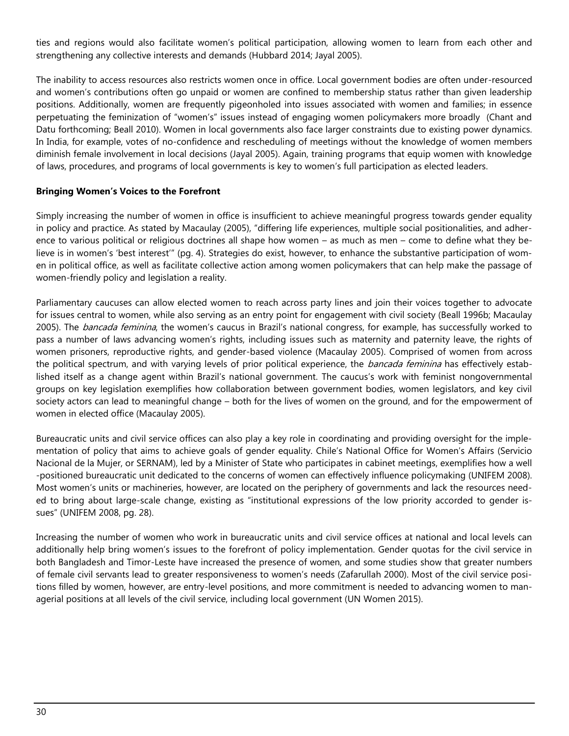ties and regions would also facilitate women's political participation, allowing women to learn from each other and strengthening any collective interests and demands (Hubbard 2014; Jayal 2005).

The inability to access resources also restricts women once in office. Local government bodies are often under-resourced and women's contributions often go unpaid or women are confined to membership status rather than given leadership positions. Additionally, women are frequently pigeonholed into issues associated with women and families; in essence perpetuating the feminization of "women's" issues instead of engaging women policymakers more broadly (Chant and Datu forthcoming; Beall 2010). Women in local governments also face larger constraints due to existing power dynamics. In India, for example, votes of no-confidence and rescheduling of meetings without the knowledge of women members diminish female involvement in local decisions (Jayal 2005). Again, training programs that equip women with knowledge of laws, procedures, and programs of local governments is key to women's full participation as elected leaders.

#### **Bringing Women's Voices to the Forefront**

Simply increasing the number of women in office is insufficient to achieve meaningful progress towards gender equality in policy and practice. As stated by Macaulay (2005), "differing life experiences, multiple social positionalities, and adherence to various political or religious doctrines all shape how women – as much as men – come to define what they believe is in women's 'best interest'" (pg. 4). Strategies do exist, however, to enhance the substantive participation of women in political office, as well as facilitate collective action among women policymakers that can help make the passage of women-friendly policy and legislation a reality.

Parliamentary caucuses can allow elected women to reach across party lines and join their voices together to advocate for issues central to women, while also serving as an entry point for engagement with civil society (Beall 1996b; Macaulay 2005). The *bancada feminina*, the women's caucus in Brazil's national congress, for example, has successfully worked to pass a number of laws advancing women's rights, including issues such as maternity and paternity leave, the rights of women prisoners, reproductive rights, and gender-based violence (Macaulay 2005). Comprised of women from across the political spectrum, and with varying levels of prior political experience, the *bancada feminina* has effectively established itself as a change agent within Brazil's national government. The caucus's work with feminist nongovernmental groups on key legislation exemplifies how collaboration between government bodies, women legislators, and key civil society actors can lead to meaningful change – both for the lives of women on the ground, and for the empowerment of women in elected office (Macaulay 2005).

Bureaucratic units and civil service offices can also play a key role in coordinating and providing oversight for the implementation of policy that aims to achieve goals of gender equality. Chile's National Office for Women's Affairs (Servicio Nacional de la Mujer, or SERNAM), led by a Minister of State who participates in cabinet meetings, exemplifies how a well -positioned bureaucratic unit dedicated to the concerns of women can effectively influence policymaking (UNIFEM 2008). Most women's units or machineries, however, are located on the periphery of governments and lack the resources needed to bring about large-scale change, existing as "institutional expressions of the low priority accorded to gender issues" (UNIFEM 2008, pg. 28).

Increasing the number of women who work in bureaucratic units and civil service offices at national and local levels can additionally help bring women's issues to the forefront of policy implementation. Gender quotas for the civil service in both Bangladesh and Timor-Leste have increased the presence of women, and some studies show that greater numbers of female civil servants lead to greater responsiveness to women's needs (Zafarullah 2000). Most of the civil service positions filled by women, however, are entry-level positions, and more commitment is needed to advancing women to managerial positions at all levels of the civil service, including local government (UN Women 2015).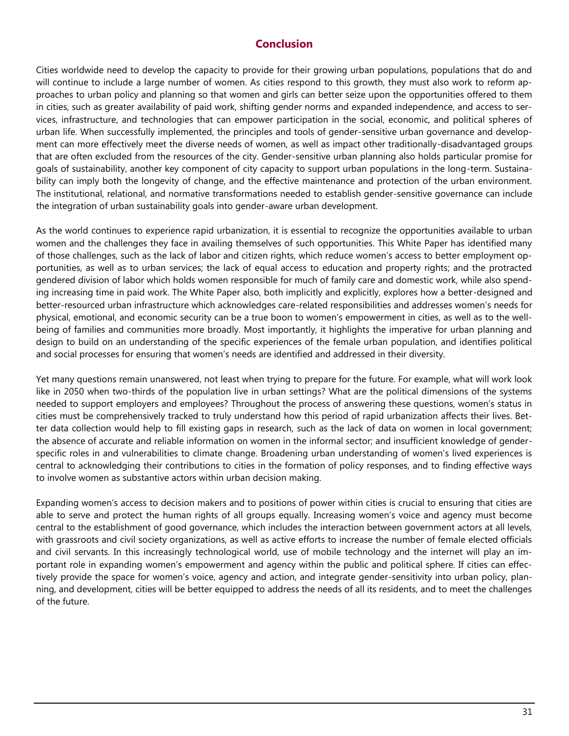## **Conclusion**

Cities worldwide need to develop the capacity to provide for their growing urban populations, populations that do and will continue to include a large number of women. As cities respond to this growth, they must also work to reform approaches to urban policy and planning so that women and girls can better seize upon the opportunities offered to them in cities, such as greater availability of paid work, shifting gender norms and expanded independence, and access to services, infrastructure, and technologies that can empower participation in the social, economic, and political spheres of urban life. When successfully implemented, the principles and tools of gender-sensitive urban governance and development can more effectively meet the diverse needs of women, as well as impact other traditionally-disadvantaged groups that are often excluded from the resources of the city. Gender-sensitive urban planning also holds particular promise for goals of sustainability, another key component of city capacity to support urban populations in the long-term. Sustainability can imply both the longevity of change, and the effective maintenance and protection of the urban environment. The institutional, relational, and normative transformations needed to establish gender-sensitive governance can include the integration of urban sustainability goals into gender-aware urban development.

As the world continues to experience rapid urbanization, it is essential to recognize the opportunities available to urban women and the challenges they face in availing themselves of such opportunities. This White Paper has identified many of those challenges, such as the lack of labor and citizen rights, which reduce women's access to better employment opportunities, as well as to urban services; the lack of equal access to education and property rights; and the protracted gendered division of labor which holds women responsible for much of family care and domestic work, while also spending increasing time in paid work. The White Paper also, both implicitly and explicitly, explores how a better-designed and better-resourced urban infrastructure which acknowledges care-related responsibilities and addresses women's needs for physical, emotional, and economic security can be a true boon to women's empowerment in cities, as well as to the wellbeing of families and communities more broadly. Most importantly, it highlights the imperative for urban planning and design to build on an understanding of the specific experiences of the female urban population, and identifies political and social processes for ensuring that women's needs are identified and addressed in their diversity.

Yet many questions remain unanswered, not least when trying to prepare for the future. For example, what will work look like in 2050 when two-thirds of the population live in urban settings? What are the political dimensions of the systems needed to support employers and employees? Throughout the process of answering these questions, women's status in cities must be comprehensively tracked to truly understand how this period of rapid urbanization affects their lives. Better data collection would help to fill existing gaps in research, such as the lack of data on women in local government; the absence of accurate and reliable information on women in the informal sector; and insufficient knowledge of genderspecific roles in and vulnerabilities to climate change. Broadening urban understanding of women's lived experiences is central to acknowledging their contributions to cities in the formation of policy responses, and to finding effective ways to involve women as substantive actors within urban decision making.

Expanding women's access to decision makers and to positions of power within cities is crucial to ensuring that cities are able to serve and protect the human rights of all groups equally. Increasing women's voice and agency must become central to the establishment of good governance, which includes the interaction between government actors at all levels, with grassroots and civil society organizations, as well as active efforts to increase the number of female elected officials and civil servants. In this increasingly technological world, use of mobile technology and the internet will play an important role in expanding women's empowerment and agency within the public and political sphere. If cities can effectively provide the space for women's voice, agency and action, and integrate gender-sensitivity into urban policy, planning, and development, cities will be better equipped to address the needs of all its residents, and to meet the challenges of the future.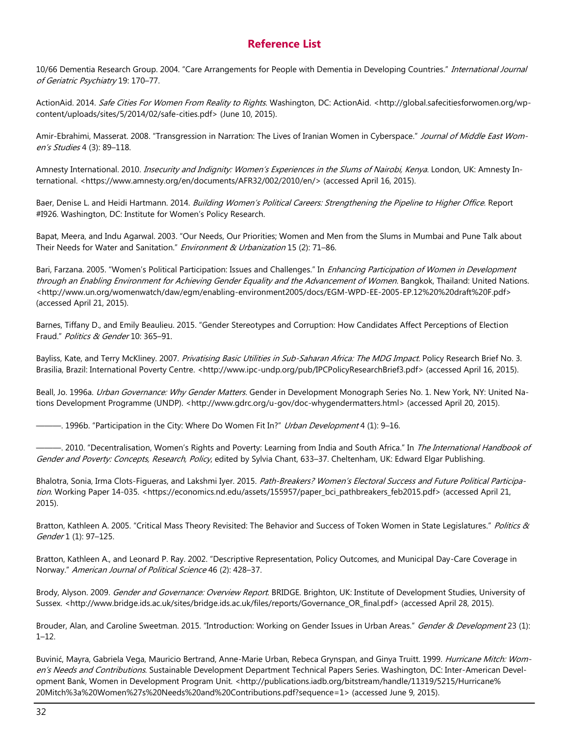## **Reference List**

10/66 Dementia Research Group. 2004. "Care Arrangements for People with Dementia in Developing Countries." International Journal of Geriatric Psychiatry 19: 170–77.

ActionAid. 2014. Safe Cities For Women From Reality to Rights. Washington, DC: ActionAid. <http://global.safecitiesforwomen.org/wpcontent/uploads/sites/5/2014/02/safe-cities.pdf> (June 10, 2015).

Amir-Ebrahimi, Masserat. 2008. "Transgression in Narration: The Lives of Iranian Women in Cyberspace." Journal of Middle East Women's Studies 4 (3): 89–118.

Amnesty International. 2010. *Insecurity and Indignity: Women's Experiences in the Slums of Nairobi, Kenya*. London, UK: Amnesty International. <https://www.amnesty.org/en/documents/AFR32/002/2010/en/> (accessed April 16, 2015).

Baer, Denise L. and Heidi Hartmann. 2014. Building Women's Political Careers: Strengthening the Pipeline to Higher Office. Report #I926. Washington, DC: Institute for Women's Policy Research.

Bapat, Meera, and Indu Agarwal. 2003. "Our Needs, Our Priorities; Women and Men from the Slums in Mumbai and Pune Talk about Their Needs for Water and Sanitation." Environment & Urbanization 15 (2): 71-86.

Bari, Farzana. 2005. "Women's Political Participation: Issues and Challenges." In *Enhancing Participation of Women in Development* through an Enabling Environment for Achieving Gender Equality and the Advancement of Women. Bangkok, Thailand: United Nations. <http://www.un.org/womenwatch/daw/egm/enabling-environment2005/docs/EGM-WPD-EE-2005-EP.12%20%20draft%20F.pdf> (accessed April 21, 2015).

Barnes, Tiffany D., and Emily Beaulieu. 2015. "Gender Stereotypes and Corruption: How Candidates Affect Perceptions of Election Fraud." Politics & Gender 10: 365-91.

Bayliss, Kate, and Terry McKliney. 2007. Privatising Basic Utilities in Sub-Saharan Africa: The MDG Impact. Policy Research Brief No. 3. Brasilia, Brazil: International Poverty Centre. <http://www.ipc-undp.org/pub/IPCPolicyResearchBrief3.pdf> (accessed April 16, 2015).

Beall, Jo. 1996a. *Urban Governance: Why Gender Matters*. Gender in Development Monograph Series No. 1. New York, NY: United Nations Development Programme (UNDP). <http://www.gdrc.org/u-gov/doc-whygendermatters.html> (accessed April 20, 2015).

——. 1996b. "Participation in the City: Where Do Women Fit In?" *Urban Development* 4 (1): 9–16.

-. 2010. "Decentralisation, Women's Rights and Poverty: Learning from India and South Africa." In The International Handbook of Gender and Poverty: Concepts, Research, Policy, edited by Sylvia Chant, 633-37. Cheltenham, UK: Edward Elgar Publishing.

Bhalotra, Sonia, Irma Clots-Figueras, and Lakshmi Iyer. 2015. Path-Breakers? Women's Electoral Success and Future Political Participation. Working Paper 14-035. <https://economics.nd.edu/assets/155957/paper\_bci\_pathbreakers\_feb2015.pdf> (accessed April 21, 2015).

Bratton, Kathleen A. 2005. "Critical Mass Theory Revisited: The Behavior and Success of Token Women in State Legislatures." Politics & Gender 1 (1): 97–125.

Bratton, Kathleen A., and Leonard P. Ray. 2002. "Descriptive Representation, Policy Outcomes, and Municipal Day-Care Coverage in Norway." American Journal of Political Science 46 (2): 428–37.

Brody, Alyson. 2009. Gender and Governance: Overview Report. BRIDGE. Brighton, UK: Institute of Development Studies, University of Sussex. <http://www.bridge.ids.ac.uk/sites/bridge.ids.ac.uk/files/reports/Governance\_OR\_final.pdf> (accessed April 28, 2015).

Brouder, Alan, and Caroline Sweetman. 2015. "Introduction: Working on Gender Issues in Urban Areas." Gender & Development 23 (1): 1–12.

Buvinić, Mayra, Gabriela Vega, Mauricio Bertrand, Anne-Marie Urban, Rebeca Grynspan, and Ginya Truitt. 1999. Hurricane Mitch: Women's Needs and Contributions. Sustainable Development Department Technical Papers Series. Washington, DC: Inter-American Development Bank, Women in Development Program Unit. <http://publications.iadb.org/bitstream/handle/11319/5215/Hurricane% 20Mitch%3a%20Women%27s%20Needs%20and%20Contributions.pdf?sequence=1> (accessed June 9, 2015).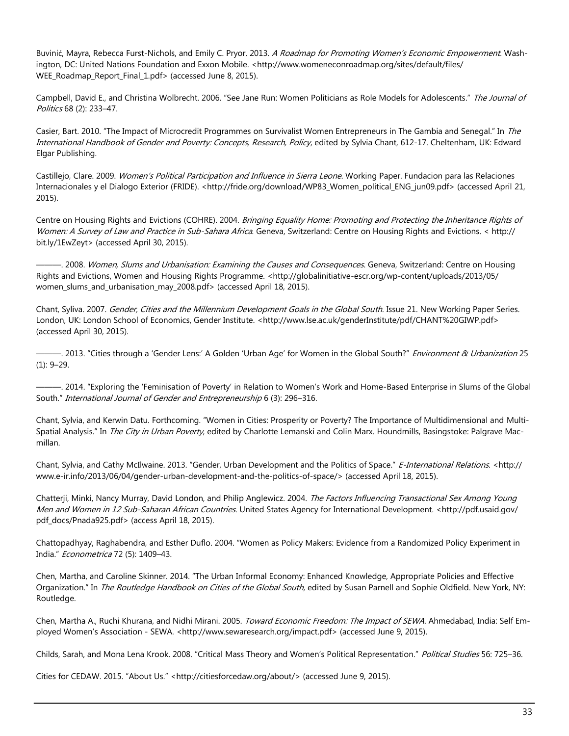Buvinić, Mayra, Rebecca Furst-Nichols, and Emily C. Pryor. 2013. A Roadmap for Promoting Women's Economic Empowerment. Washington, DC: United Nations Foundation and Exxon Mobile. <http://www.womeneconroadmap.org/sites/default/files/ WEE\_Roadmap\_Report\_Final\_1.pdf> (accessed June 8, 2015).

Campbell, David E., and Christina Wolbrecht. 2006. "See Jane Run: Women Politicians as Role Models for Adolescents." The Journal of Politics 68 (2): 233–47.

Casier, Bart. 2010. "The Impact of Microcredit Programmes on Survivalist Women Entrepreneurs in The Gambia and Senegal." In The International Handbook of Gender and Poverty: Concepts, Research, Policy, edited by Sylvia Chant, 612-17. Cheltenham, UK: Edward Elgar Publishing.

Castillejo, Clare. 2009. Women's Political Participation and Influence in Sierra Leone. Working Paper. Fundacion para las Relaciones Internacionales y el Dialogo Exterior (FRIDE). <http://fride.org/download/WP83\_Women\_political\_ENG\_jun09.pdf> (accessed April 21, 2015).

Centre on Housing Rights and Evictions (COHRE). 2004. Bringing Equality Home: Promoting and Protecting the Inheritance Rights of Women: A Survey of Law and Practice in Sub-Sahara Africa. Geneva, Switzerland: Centre on Housing Rights and Evictions. < http:// bit.ly/1EwZeyt> (accessed April 30, 2015).

-, 2008. Women, Slums and Urbanisation: Examining the Causes and Consequences. Geneva, Switzerland: Centre on Housing Rights and Evictions, Women and Housing Rights Programme. <http://globalinitiative-escr.org/wp-content/uploads/2013/05/ women\_slums\_and\_urbanisation\_may\_2008.pdf> (accessed April 18, 2015).

Chant, Syliva. 2007. Gender, Cities and the Millennium Development Goals in the Global South. Issue 21. New Working Paper Series. London, UK: London School of Economics, Gender Institute. <http://www.lse.ac.uk/genderInstitute/pdf/CHANT%20GIWP.pdf> (accessed April 30, 2015).

—. 2013. "Cities through a 'Gender Lens:' A Golden 'Urban Age' for Women in the Global South?" *Environment & Urbanization* 25 (1): 9–29.

———. 2014. "Exploring the 'Feminisation of Poverty' in Relation to Women's Work and Home-Based Enterprise in Slums of the Global South." International Journal of Gender and Entrepreneurship 6 (3): 296-316.

Chant, Sylvia, and Kerwin Datu. Forthcoming. "Women in Cities: Prosperity or Poverty? The Importance of Multidimensional and Multi-Spatial Analysis." In The City in Urban Poverty, edited by Charlotte Lemanski and Colin Marx. Houndmills, Basingstoke: Palgrave Macmillan.

Chant, Sylvia, and Cathy McIlwaine. 2013. "Gender, Urban Development and the Politics of Space." E-International Relations. < http:// www.e-ir.info/2013/06/04/gender-urban-development-and-the-politics-of-space/> (accessed April 18, 2015).

Chatterii, Minki, Nancy Murray, David London, and Philip Anglewicz. 2004. The Factors Influencing Transactional Sex Among Young Men and Women in 12 Sub-Saharan African Countries. United States Agency for International Development. <http://pdf.usaid.gov/ pdf\_docs/Pnada925.pdf> (access April 18, 2015).

Chattopadhyay, Raghabendra, and Esther Duflo. 2004. "Women as Policy Makers: Evidence from a Randomized Policy Experiment in India." Econometrica 72 (5): 1409-43.

Chen, Martha, and Caroline Skinner. 2014. "The Urban Informal Economy: Enhanced Knowledge, Appropriate Policies and Effective Organization." In The Routledge Handbook on Cities of the Global South, edited by Susan Parnell and Sophie Oldfield. New York, NY: Routledge.

Chen, Martha A., Ruchi Khurana, and Nidhi Mirani. 2005. Toward Economic Freedom: The Impact of SEWA. Ahmedabad, India: Self Employed Women's Association - SEWA. <http://www.sewaresearch.org/impact.pdf> (accessed June 9, 2015).

Childs, Sarah, and Mona Lena Krook. 2008. "Critical Mass Theory and Women's Political Representation." Political Studies 56: 725-36.

Cities for CEDAW. 2015. "About Us." <http://citiesforcedaw.org/about/> (accessed June 9, 2015).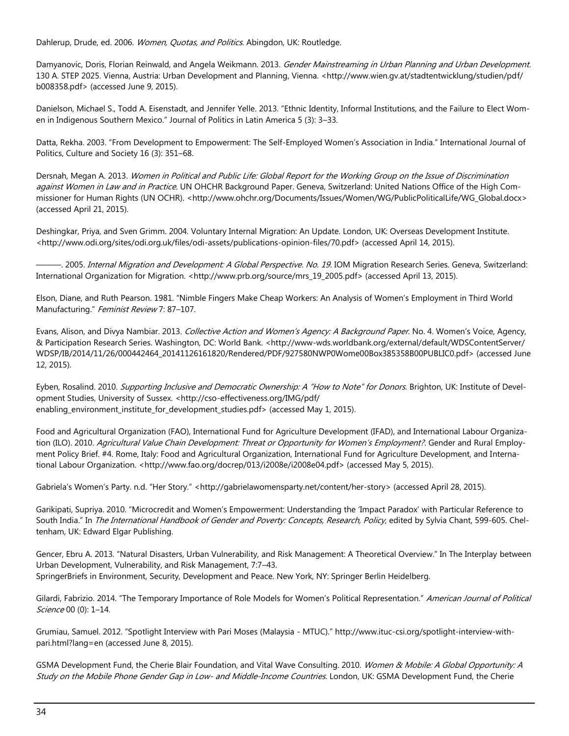Dahlerup, Drude, ed. 2006. Women, Quotas, and Politics. Abingdon, UK: Routledge.

Damyanovic, Doris, Florian Reinwald, and Angela Weikmann. 2013. Gender Mainstreaming in Urban Planning and Urban Development. 130 A. STEP 2025. Vienna, Austria: Urban Development and Planning, Vienna. <http://www.wien.gv.at/stadtentwicklung/studien/pdf/ b008358.pdf> (accessed June 9, 2015).

Danielson, Michael S., Todd A. Eisenstadt, and Jennifer Yelle. 2013. "Ethnic Identity, Informal Institutions, and the Failure to Elect Women in Indigenous Southern Mexico." Journal of Politics in Latin America 5 (3): 3–33.

Datta, Rekha. 2003. "From Development to Empowerment: The Self-Employed Women's Association in India." International Journal of Politics, Culture and Society 16 (3): 351–68.

Dersnah, Megan A. 2013. Women in Political and Public Life: Global Report for the Working Group on the Issue of Discrimination against Women in Law and in Practice. UN OHCHR Background Paper. Geneva, Switzerland: United Nations Office of the High Commissioner for Human Rights (UN OCHR). <http://www.ohchr.org/Documents/Issues/Women/WG/PublicPoliticalLife/WG\_Global.docx> (accessed April 21, 2015).

Deshingkar, Priya, and Sven Grimm. 2004. Voluntary Internal Migration: An Update. London, UK: Overseas Development Institute. <http://www.odi.org/sites/odi.org.uk/files/odi-assets/publications-opinion-files/70.pdf> (accessed April 14, 2015).

———. 2005. Internal Migration and Development: A Global Perspective. No. 19. IOM Migration Research Series. Geneva, Switzerland: International Organization for Migration. <http://www.prb.org/source/mrs\_19\_2005.pdf> (accessed April 13, 2015).

Elson, Diane, and Ruth Pearson. 1981. "Nimble Fingers Make Cheap Workers: An Analysis of Women's Employment in Third World Manufacturing." Feminist Review 7: 87-107.

Evans, Alison, and Divya Nambiar. 2013. Collective Action and Women's Agency: A Background Paper. No. 4. Women's Voice, Agency, & Participation Research Series. Washington, DC: World Bank. <http://www-wds.worldbank.org/external/default/WDSContentServer/ WDSP/IB/2014/11/26/000442464\_20141126161820/Rendered/PDF/927580NWP0Wome00Box385358B00PUBLIC0.pdf> (accessed June 12, 2015).

Eyben, Rosalind. 2010. Supporting Inclusive and Democratic Ownership: A "How to Note" for Donors. Brighton, UK: Institute of Development Studies, University of Sussex. <http://cso-effectiveness.org/IMG/pdf/ enabling\_environment\_institute\_for\_development\_studies.pdf> (accessed May 1, 2015).

Food and Agricultural Organization (FAO), International Fund for Agriculture Development (IFAD), and International Labour Organization (ILO). 2010. Agricultural Value Chain Development: Threat or Opportunity for Women's Employment?. Gender and Rural Employment Policy Brief. #4. Rome, Italy: Food and Agricultural Organization, International Fund for Agriculture Development, and International Labour Organization. <http://www.fao.org/docrep/013/i2008e/i2008e04.pdf> (accessed May 5, 2015).

Gabriela's Women's Party. n.d. "Her Story." <http://gabrielawomensparty.net/content/her-story> (accessed April 28, 2015).

Garikipati, Supriya. 2010. "Microcredit and Women's Empowerment: Understanding the 'Impact Paradox' with Particular Reference to South India." In The International Handbook of Gender and Poverty: Concepts, Research, Policy, edited by Sylvia Chant, 599-605. Cheltenham, UK: Edward Elgar Publishing.

Gencer, Ebru A. 2013. "Natural Disasters, Urban Vulnerability, and Risk Management: A Theoretical Overview." In The Interplay between Urban Development, Vulnerability, and Risk Management, 7:7–43. SpringerBriefs in Environment, Security, Development and Peace. New York, NY: Springer Berlin Heidelberg.

Gilardi, Fabrizio. 2014. "The Temporary Importance of Role Models for Women's Political Representation." American Journal of Political Science 00 (0): 1–14.

Grumiau, Samuel. 2012. "Spotlight Interview with Pari Moses (Malaysia - MTUC)." http://www.ituc-csi.org/spotlight-interview-withpari.html?lang=en (accessed June 8, 2015).

GSMA Development Fund, the Cherie Blair Foundation, and Vital Wave Consulting. 2010. Women & Mobile: A Global Opportunity: A Study on the Mobile Phone Gender Gap in Low- and Middle-Income Countries. London, UK: GSMA Development Fund, the Cherie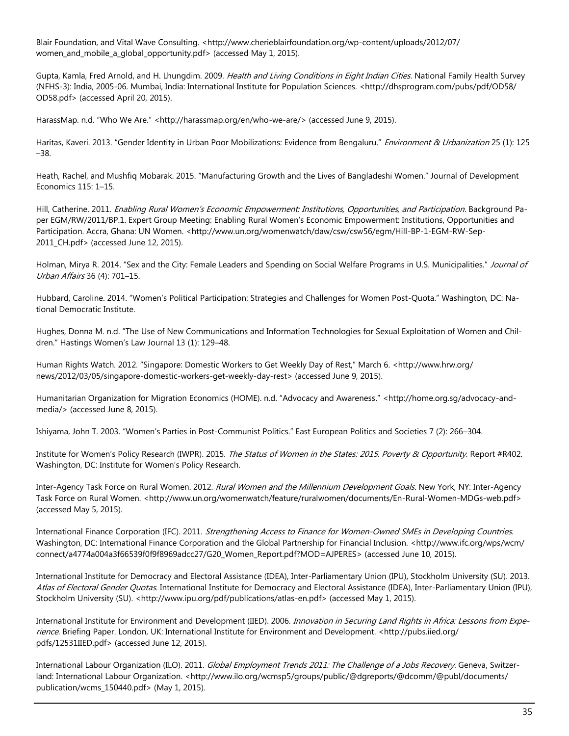Blair Foundation, and Vital Wave Consulting. <http://www.cherieblairfoundation.org/wp-content/uploads/2012/07/ women\_and\_mobile\_a\_global\_opportunity.pdf> (accessed May 1, 2015).

Gupta, Kamla, Fred Arnold, and H. Lhungdim. 2009. *Health and Living Conditions in Eight Indian Cities*. National Family Health Survey (NFHS-3): India, 2005-06. Mumbai, India: International Institute for Population Sciences. <http://dhsprogram.com/pubs/pdf/OD58/ OD58.pdf> (accessed April 20, 2015).

HarassMap. n.d. "Who We Are." <http://harassmap.org/en/who-we-are/> (accessed June 9, 2015).

Haritas, Kaveri. 2013. "Gender Identity in Urban Poor Mobilizations: Evidence from Bengaluru." Environment & Urbanization 25 (1): 125 –38.

Heath, Rachel, and Mushfiq Mobarak. 2015. "Manufacturing Growth and the Lives of Bangladeshi Women." Journal of Development Economics 115: 1–15.

Hill, Catherine. 2011. Enabling Rural Women's Economic Empowerment: Institutions, Opportunities, and Participation. Background Paper EGM/RW/2011/BP.1. Expert Group Meeting: Enabling Rural Women's Economic Empowerment: Institutions, Opportunities and Participation. Accra, Ghana: UN Women. <http://www.un.org/womenwatch/daw/csw/csw56/egm/Hill-BP-1-EGM-RW-Sep-2011\_CH.pdf> (accessed June 12, 2015).

Holman, Mirya R. 2014. "Sex and the City: Female Leaders and Spending on Social Welfare Programs in U.S. Municipalities." Journal of Urban Affairs 36 (4): 701–15.

Hubbard, Caroline. 2014. "Women's Political Participation: Strategies and Challenges for Women Post-Quota." Washington, DC: National Democratic Institute.

Hughes, Donna M. n.d. "The Use of New Communications and Information Technologies for Sexual Exploitation of Women and Children." Hastings Women's Law Journal 13 (1): 129–48.

Human Rights Watch. 2012. "Singapore: Domestic Workers to Get Weekly Day of Rest," March 6. <http://www.hrw.org/ news/2012/03/05/singapore-domestic-workers-get-weekly-day-rest> (accessed June 9, 2015).

Humanitarian Organization for Migration Economics (HOME). n.d. "Advocacy and Awareness." <http://home.org.sg/advocacy-andmedia/> (accessed June 8, 2015).

Ishiyama, John T. 2003. "Women's Parties in Post-Communist Politics." East European Politics and Societies 7 (2): 266–304.

Institute for Women's Policy Research (IWPR). 2015. The Status of Women in the States: 2015. Poverty & Opportunity. Report #R402. Washington, DC: Institute for Women's Policy Research.

Inter-Agency Task Force on Rural Women. 2012. Rural Women and the Millennium Development Goals. New York, NY: Inter-Agency Task Force on Rural Women. <http://www.un.org/womenwatch/feature/ruralwomen/documents/En-Rural-Women-MDGs-web.pdf> (accessed May 5, 2015).

International Finance Corporation (IFC). 2011. Strengthening Access to Finance for Women-Owned SMEs in Developing Countries. Washington, DC: International Finance Corporation and the Global Partnership for Financial Inclusion. <http://www.ifc.org/wps/wcm/ connect/a4774a004a3f66539f0f9f8969adcc27/G20\_Women\_Report.pdf?MOD=AJPERES> (accessed June 10, 2015).

International Institute for Democracy and Electoral Assistance (IDEA), Inter-Parliamentary Union (IPU), Stockholm University (SU). 2013. Atlas of Electoral Gender Quotas. International Institute for Democracy and Electoral Assistance (IDEA), Inter-Parliamentary Union (IPU), Stockholm University (SU). <http://www.ipu.org/pdf/publications/atlas-en.pdf> (accessed May 1, 2015).

International Institute for Environment and Development (IIED). 2006. Innovation in Securing Land Rights in Africa: Lessons from Experience. Briefing Paper. London, UK: International Institute for Environment and Development. <http://pubs.iied.org/ pdfs/12531IIED.pdf> (accessed June 12, 2015).

International Labour Organization (ILO). 2011. Global Employment Trends 2011: The Challenge of a Jobs Recovery. Geneva, Switzerland: International Labour Organization. <http://www.ilo.org/wcmsp5/groups/public/@dgreports/@dcomm/@publ/documents/ publication/wcms\_150440.pdf> (May 1, 2015).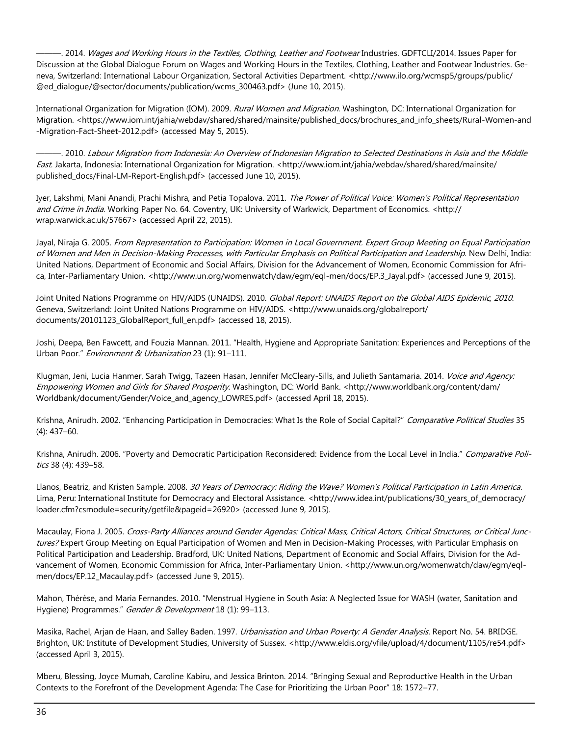———. 2014. Wages and Working Hours in the Textiles, Clothing, Leather and Footwear Industries. GDFTCLI/2014. Issues Paper for Discussion at the Global Dialogue Forum on Wages and Working Hours in the Textiles, Clothing, Leather and Footwear Industries. Geneva, Switzerland: International Labour Organization, Sectoral Activities Department. <http://www.ilo.org/wcmsp5/groups/public/ @ed\_dialogue/@sector/documents/publication/wcms\_300463.pdf> (June 10, 2015).

International Organization for Migration (IOM). 2009. Rural Women and Migration. Washington, DC: International Organization for Migration. <https://www.iom.int/jahia/webdav/shared/shared/mainsite/published\_docs/brochures\_and\_info\_sheets/Rural-Women-and -Migration-Fact-Sheet-2012.pdf> (accessed May 5, 2015).

———. 2010. Labour Migration from Indonesia: An Overview of Indonesian Migration to Selected Destinations in Asia and the Middle East. Jakarta, Indonesia: International Organization for Migration. <http://www.iom.int/jahia/webdav/shared/shared/mainsite/ published\_docs/Final-LM-Report-English.pdf> (accessed June 10, 2015).

Iyer, Lakshmi, Mani Anandi, Prachi Mishra, and Petia Topalova. 2011. The Power of Political Voice: Women's Political Representation and Crime in India. Working Paper No. 64. Coventry, UK: University of Warkwick, Department of Economics. <http:// wrap.warwick.ac.uk/57667> (accessed April 22, 2015).

Jayal, Niraja G. 2005. From Representation to Participation: Women in Local Government. Expert Group Meeting on Equal Participation of Women and Men in Decision-Making Processes, with Particular Emphasis on Political Participation and Leadership. New Delhi, India: United Nations, Department of Economic and Social Affairs, Division for the Advancement of Women, Economic Commission for Africa, Inter-Parliamentary Union. <http://www.un.org/womenwatch/daw/egm/eql-men/docs/EP.3\_Jayal.pdf> (accessed June 9, 2015).

Joint United Nations Programme on HIV/AIDS (UNAIDS). 2010. Global Report: UNAIDS Report on the Global AIDS Epidemic, 2010. Geneva, Switzerland: Joint United Nations Programme on HIV/AIDS. <http://www.unaids.org/globalreport/ documents/20101123\_GlobalReport\_full\_en.pdf> (accessed 18, 2015).

Joshi, Deepa, Ben Fawcett, and Fouzia Mannan. 2011. "Health, Hygiene and Appropriate Sanitation: Experiences and Perceptions of the Urban Poor." Environment & Urbanization 23 (1): 91-111.

Klugman, Jeni, Lucia Hanmer, Sarah Twigg, Tazeen Hasan, Jennifer McCleary-Sills, and Julieth Santamaria. 2014. Voice and Agency: Empowering Women and Girls for Shared Prosperity. Washington, DC: World Bank. <http://www.worldbank.org/content/dam/ Worldbank/document/Gender/Voice\_and\_agency\_LOWRES.pdf> (accessed April 18, 2015).

Krishna, Anirudh. 2002. "Enhancing Participation in Democracies: What Is the Role of Social Capital?" Comparative Political Studies 35 (4): 437–60.

Krishna, Anirudh. 2006. "Poverty and Democratic Participation Reconsidered: Evidence from the Local Level in India." Comparative Politics 38 (4): 439–58.

Llanos, Beatriz, and Kristen Sample. 2008. 30 Years of Democracy: Riding the Wave? Women's Political Participation in Latin America. Lima, Peru: International Institute for Democracy and Electoral Assistance. <http://www.idea.int/publications/30\_years\_of\_democracy/ loader.cfm?csmodule=security/getfile&pageid=26920> (accessed June 9, 2015).

Macaulay, Fiona J. 2005. Cross-Party Alliances around Gender Agendas: Critical Mass, Critical Actors, Critical Structures, or Critical Junctures? Expert Group Meeting on Equal Participation of Women and Men in Decision-Making Processes, with Particular Emphasis on Political Participation and Leadership. Bradford, UK: United Nations, Department of Economic and Social Affairs, Division for the Advancement of Women, Economic Commission for Africa, Inter-Parliamentary Union. <http://www.un.org/womenwatch/daw/egm/eqlmen/docs/EP.12\_Macaulay.pdf> (accessed June 9, 2015).

Mahon, Thérèse, and Maria Fernandes. 2010. "Menstrual Hygiene in South Asia: A Neglected Issue for WASH (water, Sanitation and Hygiene) Programmes." Gender & Development 18 (1): 99-113.

Masika, Rachel, Arjan de Haan, and Salley Baden. 1997. *Urbanisation and Urban Poverty: A Gender Analysis*. Report No. 54. BRIDGE. Brighton, UK: Institute of Development Studies, University of Sussex. <http://www.eldis.org/vfile/upload/4/document/1105/re54.pdf> (accessed April 3, 2015).

Mberu, Blessing, Joyce Mumah, Caroline Kabiru, and Jessica Brinton. 2014. "Bringing Sexual and Reproductive Health in the Urban Contexts to the Forefront of the Development Agenda: The Case for Prioritizing the Urban Poor" 18: 1572–77.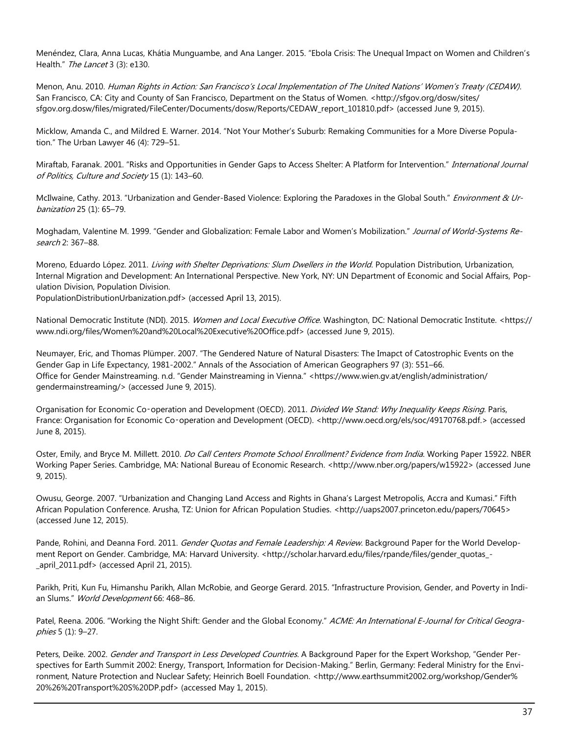Menéndez, Clara, Anna Lucas, Khátia Munguambe, and Ana Langer. 2015. "Ebola Crisis: The Unequal Impact on Women and Children's Health." The Lancet 3 (3): e130.

Menon, Anu. 2010. Human Rights in Action: San Francisco's Local Implementation of The United Nations' Women's Treaty (CEDAW). San Francisco, CA: City and County of San Francisco, Department on the Status of Women. <http://sfgov.org/dosw/sites/ sfgov.org.dosw/files/migrated/FileCenter/Documents/dosw/Reports/CEDAW\_report\_101810.pdf> (accessed June 9, 2015).

Micklow, Amanda C., and Mildred E. Warner. 2014. "Not Your Mother's Suburb: Remaking Communities for a More Diverse Population." The Urban Lawyer 46 (4): 729–51.

Miraftab, Faranak. 2001. "Risks and Opportunities in Gender Gaps to Access Shelter: A Platform for Intervention." International Journal of Politics, Culture and Society 15 (1): 143–60.

McIlwaine, Cathy. 2013. "Urbanization and Gender-Based Violence: Exploring the Paradoxes in the Global South." Environment & Urbanization 25 (1): 65–79.

Moghadam, Valentine M. 1999. "Gender and Globalization: Female Labor and Women's Mobilization." Journal of World-Systems Research 2: 367–88.

Moreno, Eduardo López. 2011. Living with Shelter Deprivations: Slum Dwellers in the World. Population Distribution, Urbanization, Internal Migration and Development: An International Perspective. New York, NY: UN Department of Economic and Social Affairs, Population Division, Population Division.

PopulationDistributionUrbanization.pdf> (accessed April 13, 2015).

National Democratic Institute (NDI). 2015. Women and Local Executive Office. Washington, DC: National Democratic Institute. <https:// www.ndi.org/files/Women%20and%20Local%20Executive%20Office.pdf> (accessed June 9, 2015).

Neumayer, Eric, and Thomas Plümper. 2007. "The Gendered Nature of Natural Disasters: The Imapct of Catostrophic Events on the Gender Gap in Life Expectancy, 1981-2002." Annals of the Association of American Geographers 97 (3): 551–66. Office for Gender Mainstreaming. n.d. "Gender Mainstreaming in Vienna." <https://www.wien.gv.at/english/administration/ gendermainstreaming/> (accessed June 9, 2015).

Organisation for Economic Co-operation and Development (OECD). 2011. Divided We Stand: Why Inequality Keeps Rising. Paris, France: Organisation for Economic Co-operation and Development (OECD). <http://www.oecd.org/els/soc/49170768.pdf.> (accessed June 8, 2015).

Oster, Emily, and Bryce M. Millett. 2010. *Do Call Centers Promote School Enrollment? Evidence from India*. Working Paper 15922. NBER Working Paper Series. Cambridge, MA: National Bureau of Economic Research. <http://www.nber.org/papers/w15922> (accessed June 9, 2015).

Owusu, George. 2007. "Urbanization and Changing Land Access and Rights in Ghana's Largest Metropolis, Accra and Kumasi." Fifth African Population Conference. Arusha, TZ: Union for African Population Studies. <http://uaps2007.princeton.edu/papers/70645> (accessed June 12, 2015).

Pande, Rohini, and Deanna Ford. 2011. Gender Quotas and Female Leadership: A Review. Background Paper for the World Development Report on Gender. Cambridge, MA: Harvard University. <http://scholar.harvard.edu/files/rpande/files/gender\_quotas\_-\_april\_2011.pdf> (accessed April 21, 2015).

Parikh, Priti, Kun Fu, Himanshu Parikh, Allan McRobie, and George Gerard. 2015. "Infrastructure Provision, Gender, and Poverty in Indian Slums." World Development 66: 468-86.

Patel, Reena. 2006. "Working the Night Shift: Gender and the Global Economy." ACME: An International E-Journal for Critical Geographies 5 (1): 9–27.

Peters, Deike. 2002. Gender and Transport in Less Developed Countries. A Background Paper for the Expert Workshop, "Gender Perspectives for Earth Summit 2002: Energy, Transport, Information for Decision-Making." Berlin, Germany: Federal Ministry for the Environment, Nature Protection and Nuclear Safety; Heinrich Boell Foundation. <http://www.earthsummit2002.org/workshop/Gender% 20%26%20Transport%20S%20DP.pdf> (accessed May 1, 2015).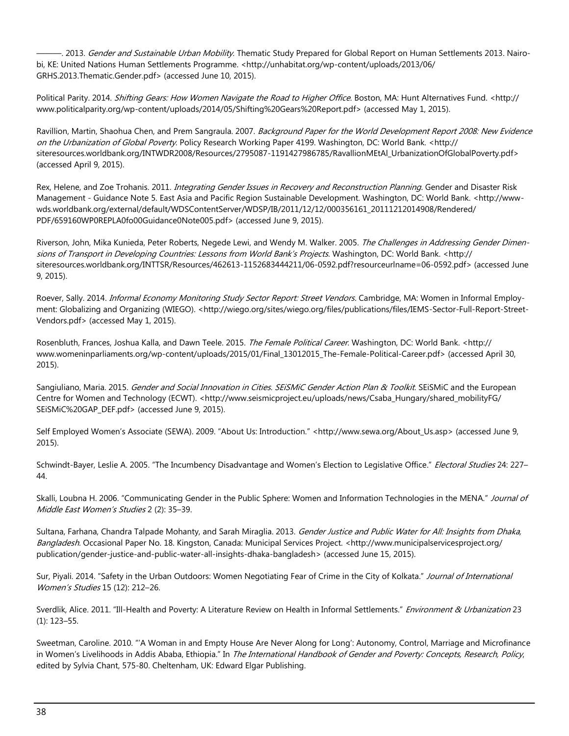—. 2013. *Gender and Sustainable Urban Mobility*. Thematic Study Prepared for Global Report on Human Settlements 2013. Nairobi, KE: United Nations Human Settlements Programme. <http://unhabitat.org/wp-content/uploads/2013/06/ GRHS.2013.Thematic.Gender.pdf> (accessed June 10, 2015).

Political Parity. 2014. Shifting Gears: How Women Navigate the Road to Higher Office. Boston, MA: Hunt Alternatives Fund. <http:// www.politicalparity.org/wp-content/uploads/2014/05/Shifting%20Gears%20Report.pdf> (accessed May 1, 2015).

Ravillion, Martin, Shaohua Chen, and Prem Sangraula. 2007. Background Paper for the World Development Report 2008: New Evidence on the Urbanization of Global Poverty. Policy Research Working Paper 4199. Washington, DC: World Bank. <http:// siteresources.worldbank.org/INTWDR2008/Resources/2795087-1191427986785/RavallionMEtAl\_UrbanizationOfGlobalPoverty.pdf> (accessed April 9, 2015).

Rex, Helene, and Zoe Trohanis. 2011. Integrating Gender Issues in Recovery and Reconstruction Planning. Gender and Disaster Risk Management - Guidance Note 5. East Asia and Pacific Region Sustainable Development. Washington, DC: World Bank. <http://wwwwds.worldbank.org/external/default/WDSContentServer/WDSP/IB/2011/12/12/000356161\_20111212014908/Rendered/ PDF/659160WP0REPLA0fo00Guidance0Note005.pdf> (accessed June 9, 2015).

Riverson, John, Mika Kunieda, Peter Roberts, Negede Lewi, and Wendy M. Walker. 2005. The Challenges in Addressing Gender Dimensions of Transport in Developing Countries: Lessons from World Bank's Projects. Washington, DC: World Bank. <http:// siteresources.worldbank.org/INTTSR/Resources/462613-1152683444211/06-0592.pdf?resourceurlname=06-0592.pdf> (accessed June 9, 2015).

Roever, Sally. 2014. *Informal Economy Monitoring Study Sector Report: Street Vendors*. Cambridge, MA: Women in Informal Employment: Globalizing and Organizing (WIEGO). <http://wiego.org/sites/wiego.org/files/publications/files/IEMS-Sector-Full-Report-Street-Vendors.pdf> (accessed May 1, 2015).

Rosenbluth, Frances, Joshua Kalla, and Dawn Teele. 2015. The Female Political Career. Washington, DC: World Bank. <http:// www.womeninparliaments.org/wp-content/uploads/2015/01/Final\_13012015\_The-Female-Political-Career.pdf> (accessed April 30, 2015).

Sangiuliano, Maria. 2015. Gender and Social Innovation in Cities. SEISMIC Gender Action Plan & Toolkit. SEISMIC and the European Centre for Women and Technology (ECWT). <http://www.seismicproject.eu/uploads/news/Csaba\_Hungary/shared\_mobilityFG/ SEiSMiC%20GAP\_DEF.pdf> (accessed June 9, 2015).

Self Employed Women's Associate (SEWA). 2009. "About Us: Introduction." <http://www.sewa.org/About\_Us.asp> (accessed June 9, 2015).

Schwindt-Bayer, Leslie A. 2005. "The Incumbency Disadvantage and Women's Election to Legislative Office." Electoral Studies 24: 227-44.

Skalli, Loubna H. 2006. "Communicating Gender in the Public Sphere: Women and Information Technologies in the MENA." Journal of Middle East Women's Studies 2 (2): 35–39.

Sultana, Farhana, Chandra Talpade Mohanty, and Sarah Miraglia. 2013. Gender Justice and Public Water for All: Insights from Dhaka, Bangladesh. Occasional Paper No. 18. Kingston, Canada: Municipal Services Project. <http://www.municipalservicesproject.org/ publication/gender-justice-and-public-water-all-insights-dhaka-bangladesh> (accessed June 15, 2015).

Sur, Piyali. 2014. "Safety in the Urban Outdoors: Women Negotiating Fear of Crime in the City of Kolkata." Journal of International Women's Studies 15 (12): 212–26.

Sverdlik, Alice. 2011. "Ill-Health and Poverty: A Literature Review on Health in Informal Settlements." Environment & Urbanization 23 (1): 123–55.

Sweetman, Caroline. 2010. "'A Woman in and Empty House Are Never Along for Long': Autonomy, Control, Marriage and Microfinance in Women's Livelihoods in Addis Ababa, Ethiopia." In The International Handbook of Gender and Poverty: Concepts, Research, Policy, edited by Sylvia Chant, 575-80. Cheltenham, UK: Edward Elgar Publishing.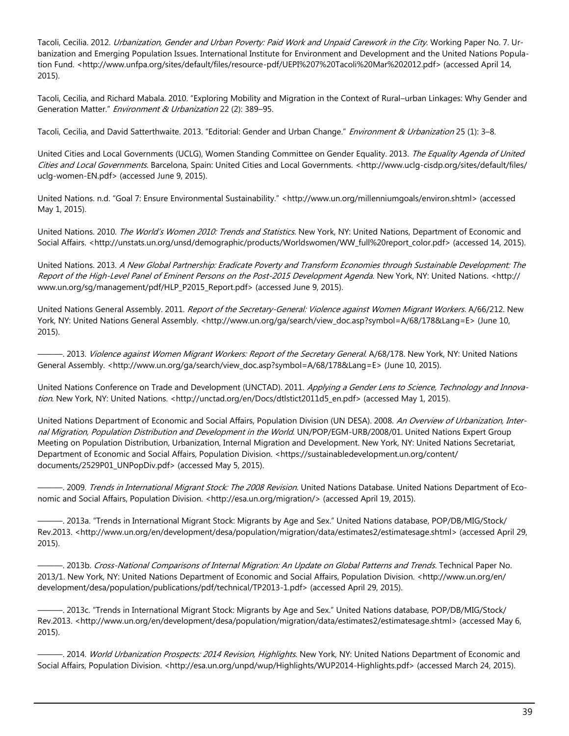Tacoli, Cecilia. 2012. *Urbanization, Gender and Urban Poverty: Paid Work and Unpaid Carework in the City*. Working Paper No. 7. Urbanization and Emerging Population Issues. International Institute for Environment and Development and the United Nations Population Fund. <http://www.unfpa.org/sites/default/files/resource-pdf/UEPI%207%20Tacoli%20Mar%202012.pdf> (accessed April 14, 2015).

Tacoli, Cecilia, and Richard Mabala. 2010. "Exploring Mobility and Migration in the Context of Rural–urban Linkages: Why Gender and Generation Matter." Environment & Urbanization 22 (2): 389-95.

Tacoli, Cecilia, and David Satterthwaite. 2013. "Editorial: Gender and Urban Change." Environment & Urbanization 25 (1): 3-8.

United Cities and Local Governments (UCLG), Women Standing Committee on Gender Equality. 2013. The Equality Agenda of United Cities and Local Governments. Barcelona, Spain: United Cities and Local Governments. <http://www.uclg-cisdp.org/sites/default/files/ uclg-women-EN.pdf> (accessed June 9, 2015).

United Nations. n.d. "Goal 7: Ensure Environmental Sustainability." <http://www.un.org/millenniumgoals/environ.shtml> (accessed May 1, 2015).

United Nations. 2010. The World's Women 2010: Trends and Statistics. New York, NY: United Nations, Department of Economic and Social Affairs. <http://unstats.un.org/unsd/demographic/products/Worldswomen/WW\_full%20report\_color.pdf> (accessed 14, 2015).

United Nations. 2013. A New Global Partnership: Eradicate Poverty and Transform Economies through Sustainable Development: The Report of the High-Level Panel of Eminent Persons on the Post-2015 Development Agenda. New York, NY: United Nations. < http:// www.un.org/sg/management/pdf/HLP\_P2015\_Report.pdf> (accessed June 9, 2015).

United Nations General Assembly. 2011. Report of the Secretary-General: Violence against Women Migrant Workers. A/66/212. New York, NY: United Nations General Assembly. <http://www.un.org/ga/search/view\_doc.asp?symbol=A/68/178&Lang=E> (June 10, 2015).

—. 2013. *Violence against Women Migrant Workers: Report of the Secretary General*. A/68/178. New York, NY: United Nations General Assembly. <http://www.un.org/ga/search/view\_doc.asp?symbol=A/68/178&Lang=E> (June 10, 2015).

United Nations Conference on Trade and Development (UNCTAD). 2011. Applying a Gender Lens to Science, Technology and Innovation. New York, NY: United Nations. < http://unctad.org/en/Docs/dtlstict2011d5\_en.pdf> (accessed May 1, 2015).

United Nations Department of Economic and Social Affairs, Population Division (UN DESA). 2008. An Overview of Urbanization, Internal Migration, Population Distribution and Development in the World. UN/POP/EGM-URB/2008/01. United Nations Expert Group Meeting on Population Distribution, Urbanization, Internal Migration and Development. New York, NY: United Nations Secretariat, Department of Economic and Social Affairs, Population Division. <https://sustainabledevelopment.un.org/content/ documents/2529P01\_UNPopDiv.pdf> (accessed May 5, 2015).

—. 2009. *Trends in International Migrant Stock: The 2008 Revision*. United Nations Database. United Nations Department of Economic and Social Affairs, Population Division. <http://esa.un.org/migration/> (accessed April 19, 2015).

———. 2013a. "Trends in International Migrant Stock: Migrants by Age and Sex." United Nations database, POP/DB/MIG/Stock/ Rev.2013. <http://www.un.org/en/development/desa/population/migration/data/estimates2/estimatesage.shtml> (accessed April 29, 2015).

———. 2013b. Cross-National Comparisons of Internal Migration: An Update on Global Patterns and Trends. Technical Paper No. 2013/1. New York, NY: United Nations Department of Economic and Social Affairs, Population Division. <http://www.un.org/en/ development/desa/population/publications/pdf/technical/TP2013-1.pdf> (accessed April 29, 2015).

———. 2013c. "Trends in International Migrant Stock: Migrants by Age and Sex." United Nations database, POP/DB/MIG/Stock/ Rev.2013. <http://www.un.org/en/development/desa/population/migration/data/estimates2/estimatesage.shtml> (accessed May 6, 2015).

—. 2014. World Urbanization Prospects: 2014 Revision, Highlights. New York, NY: United Nations Department of Economic and Social Affairs, Population Division. <http://esa.un.org/unpd/wup/Highlights/WUP2014-Highlights.pdf> (accessed March 24, 2015).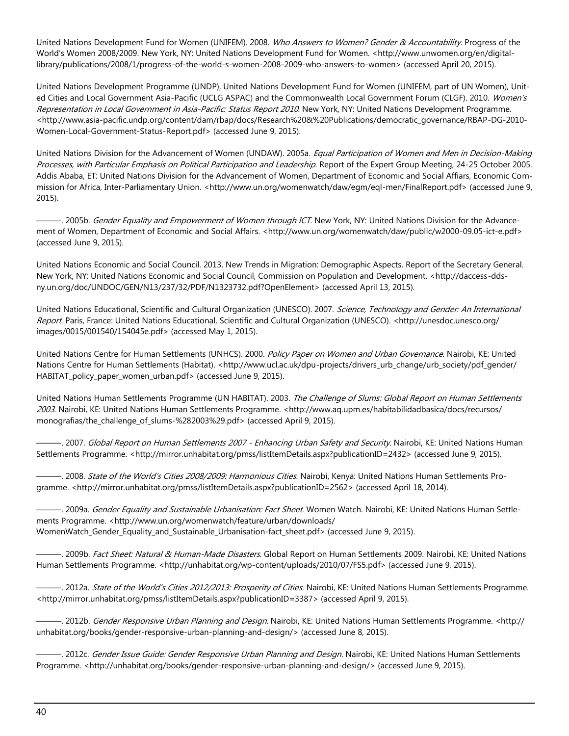United Nations Development Fund for Women (UNIFEM). 2008. Who Answers to Women? Gender & Accountability. Progress of the World's Women 2008/2009. New York, NY: United Nations Development Fund for Women. <http://www.unwomen.org/en/digitallibrary/publications/2008/1/progress-of-the-world-s-women-2008-2009-who-answers-to-women> (accessed April 20, 2015).

United Nations Development Programme (UNDP), United Nations Development Fund for Women (UNIFEM, part of UN Women), United Cities and Local Government Asia-Pacific (UCLG ASPAC) and the Commonwealth Local Government Forum (CLGF). 2010. Women's Representation in Local Government in Asia-Pacific: Status Report 2010. New York, NY: United Nations Development Programme. <http://www.asia-pacific.undp.org/content/dam/rbap/docs/Research%20&%20Publications/democratic\_governance/RBAP-DG-2010- Women-Local-Government-Status-Report.pdf> (accessed June 9, 2015).

United Nations Division for the Advancement of Women (UNDAW). 2005a. Equal Participation of Women and Men in Decision-Making Processes, with Particular Emphasis on Political Participation and Leadership. Report of the Expert Group Meeting, 24-25 October 2005. Addis Ababa, ET: United Nations Division for the Advancement of Women, Department of Economic and Social Affiars, Economic Commission for Africa, Inter-Parliamentary Union. <http://www.un.org/womenwatch/daw/egm/eql-men/FinalReport.pdf> (accessed June 9, 2015).

———. 2005b. Gender Equality and Empowerment of Women through ICT. New York, NY: United Nations Division for the Advancement of Women, Department of Economic and Social Affairs. <http://www.un.org/womenwatch/daw/public/w2000-09.05-ict-e.pdf> (accessed June 9, 2015).

United Nations Economic and Social Council. 2013. New Trends in Migration: Demographic Aspects. Report of the Secretary General. New York, NY: United Nations Economic and Social Council, Commission on Population and Development. <http://daccess-ddsny.un.org/doc/UNDOC/GEN/N13/237/32/PDF/N1323732.pdf?OpenElement> (accessed April 13, 2015).

United Nations Educational, Scientific and Cultural Organization (UNESCO). 2007. Science, Technology and Gender: An International Report. Paris, France: United Nations Educational, Scientific and Cultural Organization (UNESCO). <http://unesdoc.unesco.org/ images/0015/001540/154045e.pdf> (accessed May 1, 2015).

United Nations Centre for Human Settlements (UNHCS). 2000. Policy Paper on Women and Urban Governance. Nairobi, KE: United Nations Centre for Human Settlements (Habitat). <http://www.ucl.ac.uk/dpu-projects/drivers\_urb\_change/urb\_society/pdf\_gender/ HABITAT\_policy\_paper\_women\_urban.pdf> (accessed June 9, 2015).

United Nations Human Settlements Programme (UN HABITAT). 2003. The Challenge of Slums: Global Report on Human Settlements 2003. Nairobi, KE: United Nations Human Settlements Programme. <http://www.aq.upm.es/habitabilidadbasica/docs/recursos/ monografias/the\_challenge\_of\_slums-%282003%29.pdf> (accessed April 9, 2015).

—. 2007. *Global Report on Human Settlements 2007 - Enhancing Urban Safety and Security.* Nairobi, KE: United Nations Human Settlements Programme. <http://mirror.unhabitat.org/pmss/listItemDetails.aspx?publicationID=2432> (accessed June 9, 2015).

–. 2008. State of the World's Cities 2008/2009: Harmonious Cities. Nairobi, Kenya: United Nations Human Settlements Programme. <http://mirror.unhabitat.org/pmss/listItemDetails.aspx?publicationID=2562> (accessed April 18, 2014).

–. 2009a. *Gender Equality and Sustainable Urbanisation: Fact Sheet*. Women Watch. Nairobi, KE: United Nations Human Settlements Programme. <http://www.un.org/womenwatch/feature/urban/downloads/ WomenWatch\_Gender\_Equality\_and\_Sustainable\_Urbanisation-fact\_sheet.pdf> (accessed June 9, 2015).

——. 2009b. *Fact Sheet: Natural & Human-Made Disasters*. Global Report on Human Settlements 2009. Nairobi, KE: United Nations Human Settlements Programme. <http://unhabitat.org/wp-content/uploads/2010/07/FS5.pdf> (accessed June 9, 2015).

-. 2012a. State of the World's Cities 2012/2013: Prosperity of Cities. Nairobi, KE: United Nations Human Settlements Programme. <http://mirror.unhabitat.org/pmss/listItemDetails.aspx?publicationID=3387> (accessed April 9, 2015).

—. 2012b. *Gender Responsive Urban Planning and Design*. Nairobi, KE: United Nations Human Settlements Programme. <http:// unhabitat.org/books/gender-responsive-urban-planning-and-design/> (accessed June 8, 2015).

—. 2012c. Gender Issue Guide: Gender Responsive Urban Planning and Design. Nairobi, KE: United Nations Human Settlements Programme. <http://unhabitat.org/books/gender-responsive-urban-planning-and-design/> (accessed June 9, 2015).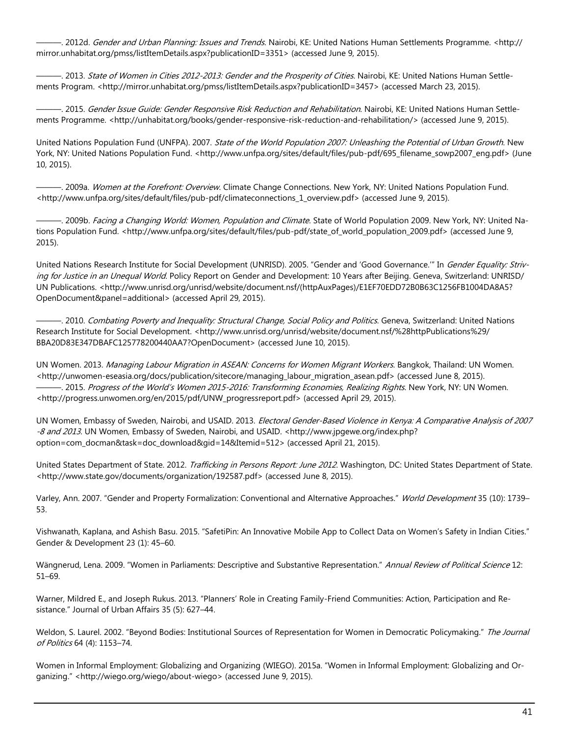———. 2012d. Gender and Urban Planning: Issues and Trends. Nairobi, KE: United Nations Human Settlements Programme. <http:// mirror.unhabitat.org/pmss/listItemDetails.aspx?publicationID=3351> (accessed June 9, 2015).

. 2013. State of Women in Cities 2012-2013: Gender and the Prosperity of Cities. Nairobi, KE: United Nations Human Settlements Program. <http://mirror.unhabitat.org/pmss/listItemDetails.aspx?publicationID=3457> (accessed March 23, 2015).

—. 2015. *Gender Issue Guide: Gender Responsive Risk Reduction and Rehabilitation*. Nairobi, KE: United Nations Human Settlements Programme. <http://unhabitat.org/books/gender-responsive-risk-reduction-and-rehabilitation/> (accessed June 9, 2015).

United Nations Population Fund (UNFPA). 2007. State of the World Population 2007: Unleashing the Potential of Urban Growth. New York, NY: United Nations Population Fund. <http://www.unfpa.org/sites/default/files/pub-pdf/695\_filename\_sowp2007\_eng.pdf> (June 10, 2015).

—. 2009a. Women at the Forefront: Overview. Climate Change Connections. New York, NY: United Nations Population Fund. <http://www.unfpa.org/sites/default/files/pub-pdf/climateconnections\_1\_overview.pdf> (accessed June 9, 2015).

——. 2009b. Facing a Changing World: Women, Population and Climate. State of World Population 2009. New York, NY: United Nations Population Fund. <http://www.unfpa.org/sites/default/files/pub-pdf/state\_of\_world\_population\_2009.pdf> (accessed June 9, 2015).

United Nations Research Institute for Social Development (UNRISD). 2005. "Gender and 'Good Governance." In Gender Equality: Striving for Justice in an Unequal World. Policy Report on Gender and Development: 10 Years after Beijing. Geneva, Switzerland: UNRISD/ UN Publications. <http://www.unrisd.org/unrisd/website/document.nsf/(httpAuxPages)/E1EF70EDD72B0B63C1256FB1004DA8A5? OpenDocument&panel=additional> (accessed April 29, 2015).

—. 2010. Combating Poverty and Inequality: Structural Change, Social Policy and Politics. Geneva, Switzerland: United Nations Research Institute for Social Development. <http://www.unrisd.org/unrisd/website/document.nsf/%28httpPublications%29/ BBA20D83E347DBAFC125778200440AA7?OpenDocument> (accessed June 10, 2015).

UN Women. 2013. Managing Labour Migration in ASEAN: Concerns for Women Migrant Workers. Bangkok, Thailand: UN Women. <http://unwomen-eseasia.org/docs/publication/sitecore/managing\_labour\_migration\_asean.pdf> (accessed June 8, 2015). -, 2015. Progress of the World's Women 2015-2016: Transforming Economies, Realizing Rights. New York, NY: UN Women. <http://progress.unwomen.org/en/2015/pdf/UNW\_progressreport.pdf> (accessed April 29, 2015).

UN Women, Embassy of Sweden, Nairobi, and USAID. 2013. *Electoral Gender-Based Violence in Kenya: A Comparative Analysis of 2007* -8 and 2013. UN Women, Embassy of Sweden, Nairobi, and USAID. <http://www.jpgewe.org/index.php? option=com\_docman&task=doc\_download&gid=14&Itemid=512> (accessed April 21, 2015).

United States Department of State. 2012. Trafficking in Persons Report: June 2012. Washington, DC: United States Department of State. <http://www.state.gov/documents/organization/192587.pdf> (accessed June 8, 2015).

Varley, Ann. 2007. "Gender and Property Formalization: Conventional and Alternative Approaches." World Development 35 (10): 1739– 53.

Vishwanath, Kaplana, and Ashish Basu. 2015. "SafetiPin: An Innovative Mobile App to Collect Data on Women's Safety in Indian Cities." Gender & Development 23 (1): 45–60.

Wängnerud, Lena. 2009. "Women in Parliaments: Descriptive and Substantive Representation." Annual Review of Political Science 12: 51–69.

Warner, Mildred E., and Joseph Rukus. 2013. "Planners' Role in Creating Family-Friend Communities: Action, Participation and Resistance." Journal of Urban Affairs 35 (5): 627–44.

Weldon, S. Laurel. 2002. "Beyond Bodies: Institutional Sources of Representation for Women in Democratic Policymaking." The Journal of Politics 64 (4): 1153–74.

Women in Informal Employment: Globalizing and Organizing (WIEGO). 2015a. "Women in Informal Employment: Globalizing and Organizing." <http://wiego.org/wiego/about-wiego> (accessed June 9, 2015).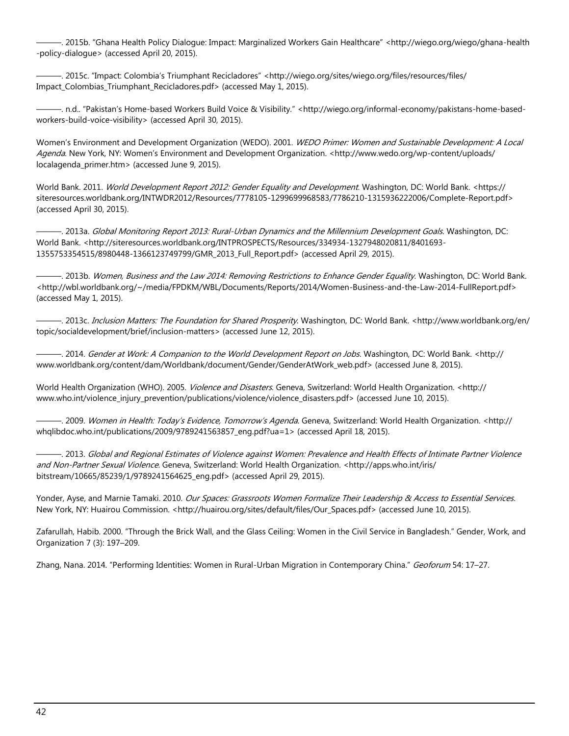———. 2015b. "Ghana Health Policy Dialogue: Impact: Marginalized Workers Gain Healthcare" <http://wiego.org/wiego/ghana-health -policy-dialogue> (accessed April 20, 2015).

. 2015c. "Impact: Colombia's Triumphant Recicladores" <http://wiego.org/sites/wiego.org/files/resources/files/ Impact\_Colombias\_Triumphant\_Recicladores.pdf> (accessed May 1, 2015).

———. n.d.. "Pakistan's Home-based Workers Build Voice & Visibility." <http://wiego.org/informal-economy/pakistans-home-basedworkers-build-voice-visibility> (accessed April 30, 2015).

Women's Environment and Development Organization (WEDO). 2001. WEDO Primer: Women and Sustainable Development: A Local Agenda. New York, NY: Women's Environment and Development Organization. <http://www.wedo.org/wp-content/uploads/ localagenda\_primer.htm> (accessed June 9, 2015).

World Bank. 2011. World Development Report 2012: Gender Equality and Development. Washington, DC: World Bank. <https:// siteresources.worldbank.org/INTWDR2012/Resources/7778105-1299699968583/7786210-1315936222006/Complete-Report.pdf> (accessed April 30, 2015).

———. 2013a. Global Monitoring Report 2013: Rural-Urban Dynamics and the Millennium Development Goals. Washington, DC: World Bank. <http://siteresources.worldbank.org/INTPROSPECTS/Resources/334934-1327948020811/8401693- 1355753354515/8980448-1366123749799/GMR\_2013\_Full\_Report.pdf> (accessed April 29, 2015).

-. 2013b. Women, Business and the Law 2014: Removing Restrictions to Enhance Gender Equality. Washington, DC: World Bank. <http://wbl.worldbank.org/~/media/FPDKM/WBL/Documents/Reports/2014/Women-Business-and-the-Law-2014-FullReport.pdf> (accessed May 1, 2015).

—. 2013c. *Inclusion Matters: The Foundation for Shared Prosperity*. Washington, DC: World Bank. <http://www.worldbank.org/en/ topic/socialdevelopment/brief/inclusion-matters> (accessed June 12, 2015).

—. 2014. Gender at Work: A Companion to the World Development Report on Jobs. Washington, DC: World Bank. <http:// www.worldbank.org/content/dam/Worldbank/document/Gender/GenderAtWork\_web.pdf> (accessed June 8, 2015).

World Health Organization (WHO). 2005. *Violence and Disasters*. Geneva, Switzerland: World Health Organization. <http:// www.who.int/violence\_injury\_prevention/publications/violence/violence\_disasters.pdf> (accessed June 10, 2015).

—. 2009. *Women in Health: Today's Evidence, Tomorrow's Agenda*. Geneva, Switzerland: World Health Organization. <http:// whqlibdoc.who.int/publications/2009/9789241563857\_eng.pdf?ua=1> (accessed April 18, 2015).

———. 2013. Global and Regional Estimates of Violence against Women: Prevalence and Health Effects of Intimate Partner Violence and Non-Partner Sexual Violence. Geneva, Switzerland: World Health Organization. <http://apps.who.int/iris/ bitstream/10665/85239/1/9789241564625\_eng.pdf> (accessed April 29, 2015).

Yonder, Ayse, and Marnie Tamaki. 2010. Our Spaces: Grassroots Women Formalize Their Leadership & Access to Essential Services. New York, NY: Huairou Commission. <http://huairou.org/sites/default/files/Our\_Spaces.pdf> (accessed June 10, 2015).

Zafarullah, Habib. 2000. "Through the Brick Wall, and the Glass Ceiling: Women in the Civil Service in Bangladesh." Gender, Work, and Organization 7 (3): 197–209.

Zhang, Nana. 2014. "Performing Identities: Women in Rural-Urban Migration in Contemporary China." Geoforum 54: 17-27.